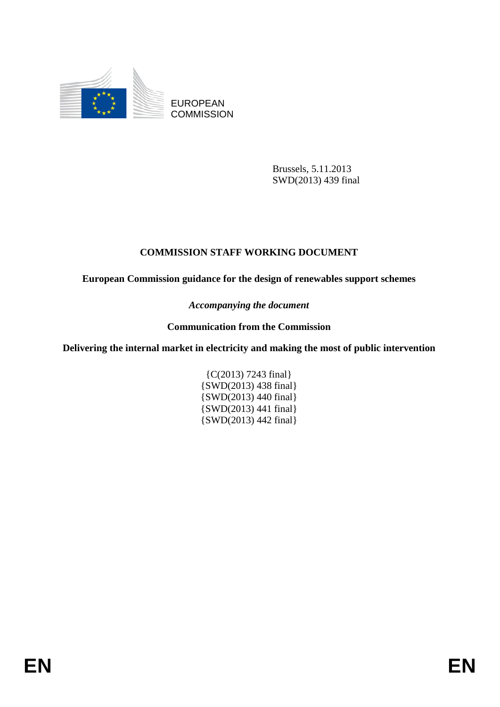

EUROPEAN **COMMISSION** 

> Brussels, 5.11.2013 SWD(2013) 439 final

# **COMMISSION STAFF WORKING DOCUMENT**

**European Commission guidance for the design of renewables support schemes** 

*Accompanying the document* 

**Communication from the Commission** 

**Delivering the internal market in electricity and making the most of public intervention**

{C(2013) 7243 final} {SWD(2013) 438 final} {SWD(2013) 440 final} {SWD(2013) 441 final} {SWD(2013) 442 final}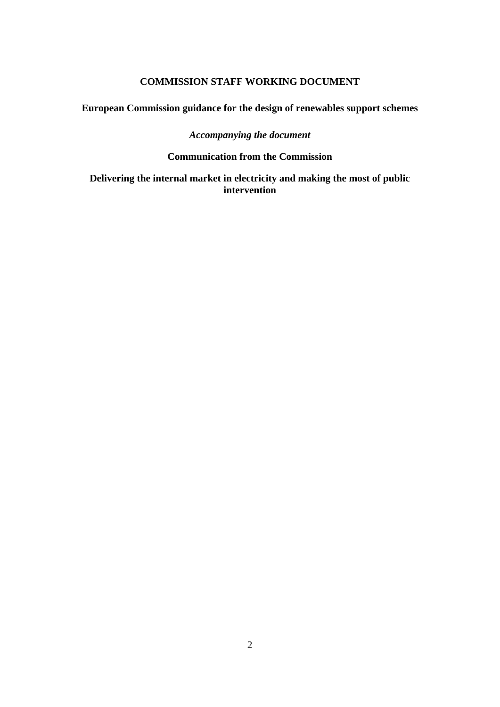# **COMMISSION STAFF WORKING DOCUMENT**

**European Commission guidance for the design of renewables support schemes** 

# *Accompanying the document*

# **Communication from the Commission**

**Delivering the internal market in electricity and making the most of public intervention**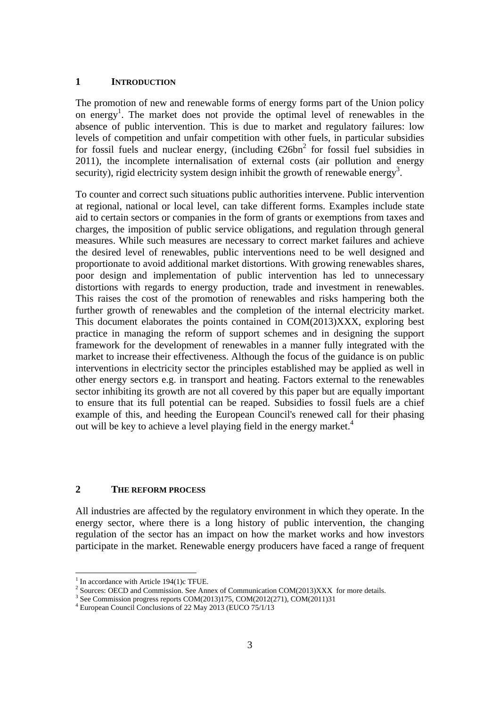## **1 INTRODUCTION**

The promotion of new and renewable forms of energy forms part of the Union policy on energy<sup>1</sup>. The market does not provide the optimal level of renewables in the absence of public intervention. This is due to market and regulatory failures: low levels of competition and unfair competition with other fuels, in particular subsidies for fossil fuels and nuclear energy, (including  $\epsilon$ 26bn<sup>2</sup> for fossil fuel subsidies in 2011), the incomplete internalisation of external costs (air pollution and energy security), rigid electricity system design inhibit the growth of renewable energy<sup>3</sup>.

To counter and correct such situations public authorities intervene. Public intervention at regional, national or local level, can take different forms. Examples include state aid to certain sectors or companies in the form of grants or exemptions from taxes and charges, the imposition of public service obligations, and regulation through general measures. While such measures are necessary to correct market failures and achieve the desired level of renewables, public interventions need to be well designed and proportionate to avoid additional market distortions. With growing renewables shares, poor design and implementation of public intervention has led to unnecessary distortions with regards to energy production, trade and investment in renewables. This raises the cost of the promotion of renewables and risks hampering both the further growth of renewables and the completion of the internal electricity market. This document elaborates the points contained in COM(2013)XXX, exploring best practice in managing the reform of support schemes and in designing the support framework for the development of renewables in a manner fully integrated with the market to increase their effectiveness. Although the focus of the guidance is on public interventions in electricity sector the principles established may be applied as well in other energy sectors e.g. in transport and heating. Factors external to the renewables sector inhibiting its growth are not all covered by this paper but are equally important to ensure that its full potential can be reaped. Subsidies to fossil fuels are a chief example of this, and heeding the European Council's renewed call for their phasing out will be key to achieve a level playing field in the energy market.<sup>4</sup>

# **2 THE REFORM PROCESS**

All industries are affected by the regulatory environment in which they operate. In the energy sector, where there is a long history of public intervention, the changing regulation of the sector has an impact on how the market works and how investors participate in the market. Renewable energy producers have faced a range of frequent

1

<sup>&</sup>lt;sup>1</sup> In accordance with Article 194(1)c TFUE.

<sup>&</sup>lt;sup>2</sup> Sources: OECD and Commission. See Annex of Communication COM(2013)XXX for more details.<br><sup>3</sup> See Commission progress reports COM(2013)175, COM(2012(271), COM(2011)21

<sup>&</sup>lt;sup>3</sup> See Commission progress reports COM(2013)175, COM(2012(271), COM(2011)31

<sup>4</sup> European Council Conclusions of 22 May 2013 (EUCO 75/1/13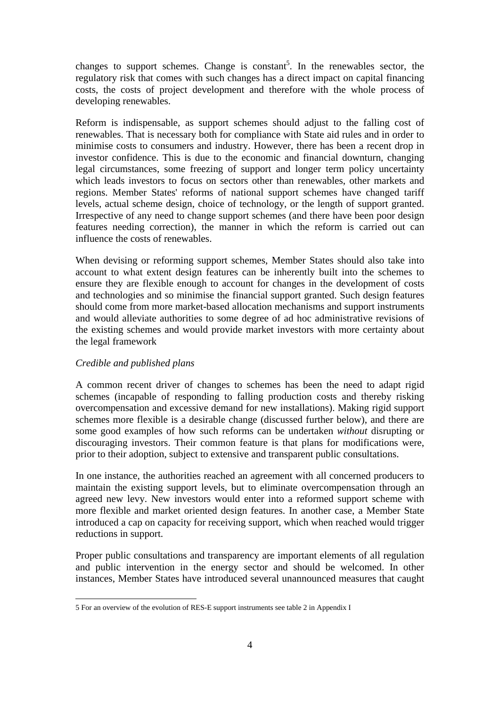changes to support schemes. Change is constant<sup>5</sup>. In the renewables sector, the regulatory risk that comes with such changes has a direct impact on capital financing costs, the costs of project development and therefore with the whole process of developing renewables.

Reform is indispensable, as support schemes should adjust to the falling cost of renewables. That is necessary both for compliance with State aid rules and in order to minimise costs to consumers and industry. However, there has been a recent drop in investor confidence. This is due to the economic and financial downturn, changing legal circumstances, some freezing of support and longer term policy uncertainty which leads investors to focus on sectors other than renewables, other markets and regions. Member States' reforms of national support schemes have changed tariff levels, actual scheme design, choice of technology, or the length of support granted. Irrespective of any need to change support schemes (and there have been poor design features needing correction), the manner in which the reform is carried out can influence the costs of renewables.

When devising or reforming support schemes, Member States should also take into account to what extent design features can be inherently built into the schemes to ensure they are flexible enough to account for changes in the development of costs and technologies and so minimise the financial support granted. Such design features should come from more market-based allocation mechanisms and support instruments and would alleviate authorities to some degree of ad hoc administrative revisions of the existing schemes and would provide market investors with more certainty about the legal framework

# *Credible and published plans*

<u>.</u>

A common recent driver of changes to schemes has been the need to adapt rigid schemes (incapable of responding to falling production costs and thereby risking overcompensation and excessive demand for new installations). Making rigid support schemes more flexible is a desirable change (discussed further below), and there are some good examples of how such reforms can be undertaken *without* disrupting or discouraging investors. Their common feature is that plans for modifications were, prior to their adoption, subject to extensive and transparent public consultations.

In one instance, the authorities reached an agreement with all concerned producers to maintain the existing support levels, but to eliminate overcompensation through an agreed new levy. New investors would enter into a reformed support scheme with more flexible and market oriented design features. In another case, a Member State introduced a cap on capacity for receiving support, which when reached would trigger reductions in support.

Proper public consultations and transparency are important elements of all regulation and public intervention in the energy sector and should be welcomed. In other instances, Member States have introduced several unannounced measures that caught

<sup>5</sup> For an overview of the evolution of RES-E support instruments see table 2 in Appendix I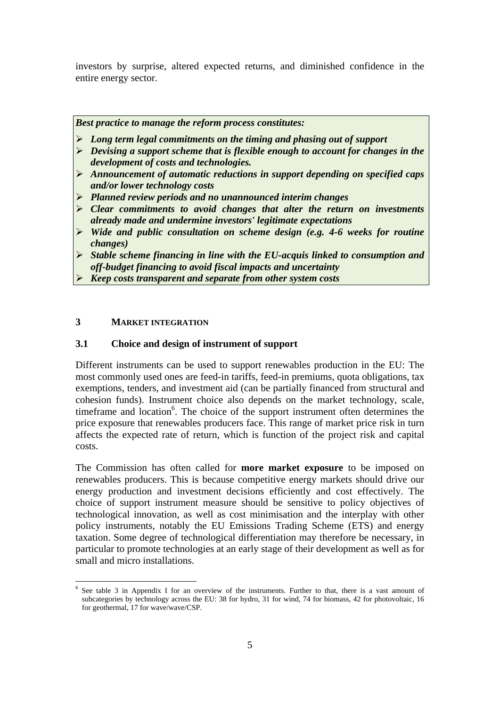investors by surprise, altered expected returns, and diminished confidence in the entire energy sector.

*Best practice to manage the reform process constitutes:* 

- ¾ *Long term legal commitments on the timing and phasing out of support*
- ¾ *Devising a support scheme that is flexible enough to account for changes in the development of costs and technologies.*
- ¾ *Announcement of automatic reductions in support depending on specified caps and/or lower technology costs*
- ¾ *Planned review periods and no unannounced interim changes*
- ¾ *Clear commitments to avoid changes that alter the return on investments already made and undermine investors' legitimate expectations*
- ¾ *Wide and public consultation on scheme design (e.g. 4-6 weeks for routine changes)*
- ¾ *Stable scheme financing in line with the EU-acquis linked to consumption and off-budget financing to avoid fiscal impacts and uncertainty*
- ¾ *Keep costs transparent and separate from other system costs*

# **3 MARKET INTEGRATION**

1

#### **3.1 Choice and design of instrument of support**

Different instruments can be used to support renewables production in the EU: The most commonly used ones are feed-in tariffs, feed-in premiums, quota obligations, tax exemptions, tenders, and investment aid (can be partially financed from structural and cohesion funds). Instrument choice also depends on the market technology, scale, timeframe and location<sup>6</sup>. The choice of the support instrument often determines the price exposure that renewables producers face. This range of market price risk in turn affects the expected rate of return, which is function of the project risk and capital costs.

The Commission has often called for **more market exposure** to be imposed on renewables producers. This is because competitive energy markets should drive our energy production and investment decisions efficiently and cost effectively. The choice of support instrument measure should be sensitive to policy objectives of technological innovation, as well as cost minimisation and the interplay with other policy instruments, notably the EU Emissions Trading Scheme (ETS) and energy taxation. Some degree of technological differentiation may therefore be necessary, in particular to promote technologies at an early stage of their development as well as for small and micro installations.

<sup>&</sup>lt;sup>6</sup> See table 3 in Appendix I for an overview of the instruments. Further to that, there is a vast amount of subcategories by technology across the EU: 38 for hydro, 31 for wind, 74 for biomass, 42 for photovoltaic, 16 for geothermal, 17 for wave/wave/CSP.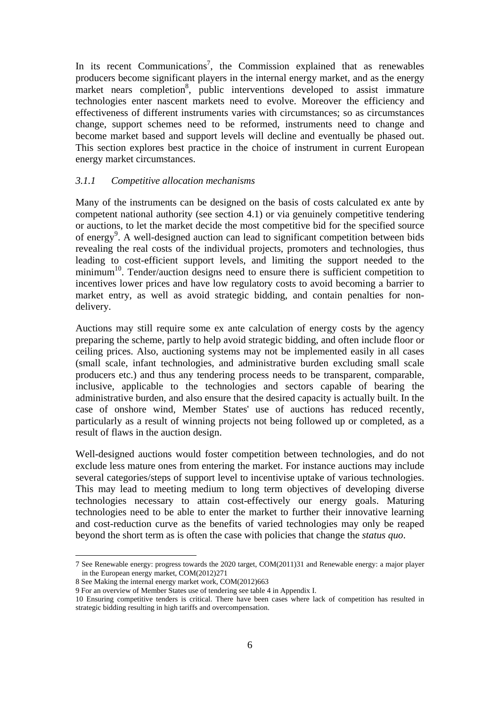In its recent Communications<sup>7</sup>, the Commission explained that as renewables producers become significant players in the internal energy market, and as the energy market nears completion<sup>8</sup>, public interventions developed to assist immature technologies enter nascent markets need to evolve. Moreover the efficiency and effectiveness of different instruments varies with circumstances; so as circumstances change, support schemes need to be reformed, instruments need to change and become market based and support levels will decline and eventually be phased out. This section explores best practice in the choice of instrument in current European energy market circumstances.

## *3.1.1 Competitive allocation mechanisms*

Many of the instruments can be designed on the basis of costs calculated ex ante by competent national authority (see section 4.1) or via genuinely competitive tendering or auctions, to let the market decide the most competitive bid for the specified source of energy<sup>9</sup>. A well-designed auction can lead to significant competition between bids revealing the real costs of the individual projects, promoters and technologies, thus leading to cost-efficient support levels, and limiting the support needed to the minimum<sup>10</sup>. Tender/auction designs need to ensure there is sufficient competition to incentives lower prices and have low regulatory costs to avoid becoming a barrier to market entry, as well as avoid strategic bidding, and contain penalties for nondelivery.

Auctions may still require some ex ante calculation of energy costs by the agency preparing the scheme, partly to help avoid strategic bidding, and often include floor or ceiling prices. Also, auctioning systems may not be implemented easily in all cases (small scale, infant technologies, and administrative burden excluding small scale producers etc.) and thus any tendering process needs to be transparent, comparable, inclusive, applicable to the technologies and sectors capable of bearing the administrative burden, and also ensure that the desired capacity is actually built. In the case of onshore wind, Member States' use of auctions has reduced recently, particularly as a result of winning projects not being followed up or completed, as a result of flaws in the auction design.

Well-designed auctions would foster competition between technologies, and do not exclude less mature ones from entering the market. For instance auctions may include several categories/steps of support level to incentivise uptake of various technologies. This may lead to meeting medium to long term objectives of developing diverse technologies necessary to attain cost-effectively our energy goals. Maturing technologies need to be able to enter the market to further their innovative learning and cost-reduction curve as the benefits of varied technologies may only be reaped beyond the short term as is often the case with policies that change the *status quo*.

<u>.</u>

<sup>7</sup> See Renewable energy: progress towards the 2020 target, COM(2011)31 and Renewable energy: a major player in the European energy market, COM(2012)271

<sup>8</sup> See Making the internal energy market work, COM(2012)663

<sup>9</sup> For an overview of Member States use of tendering see table 4 in Appendix I.

<sup>10</sup> Ensuring competitive tenders is critical. There have been cases where lack of competition has resulted in strategic bidding resulting in high tariffs and overcompensation.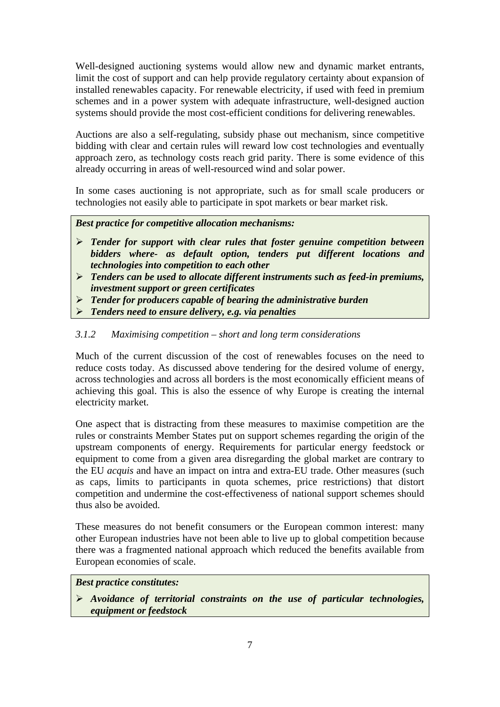Well-designed auctioning systems would allow new and dynamic market entrants, limit the cost of support and can help provide regulatory certainty about expansion of installed renewables capacity. For renewable electricity, if used with feed in premium schemes and in a power system with adequate infrastructure, well-designed auction systems should provide the most cost-efficient conditions for delivering renewables.

Auctions are also a self-regulating, subsidy phase out mechanism, since competitive bidding with clear and certain rules will reward low cost technologies and eventually approach zero, as technology costs reach grid parity. There is some evidence of this already occurring in areas of well-resourced wind and solar power.

In some cases auctioning is not appropriate, such as for small scale producers or technologies not easily able to participate in spot markets or bear market risk.

*Best practice for competitive allocation mechanisms:* 

- ¾ *Tender for support with clear rules that foster genuine competition between bidders where- as default option, tenders put different locations and technologies into competition to each other*
- ¾ *Tenders can be used to allocate different instruments such as feed-in premiums, investment support or green certificates*
- ¾ *Tender for producers capable of bearing the administrative burden*
- ¾ *Tenders need to ensure delivery, e.g. via penalties*

## *3.1.2 Maximising competition – short and long term considerations*

Much of the current discussion of the cost of renewables focuses on the need to reduce costs today. As discussed above tendering for the desired volume of energy, across technologies and across all borders is the most economically efficient means of achieving this goal. This is also the essence of why Europe is creating the internal electricity market.

One aspect that is distracting from these measures to maximise competition are the rules or constraints Member States put on support schemes regarding the origin of the upstream components of energy. Requirements for particular energy feedstock or equipment to come from a given area disregarding the global market are contrary to the EU *acquis* and have an impact on intra and extra-EU trade. Other measures (such as caps, limits to participants in quota schemes, price restrictions) that distort competition and undermine the cost-effectiveness of national support schemes should thus also be avoided.

These measures do not benefit consumers or the European common interest: many other European industries have not been able to live up to global competition because there was a fragmented national approach which reduced the benefits available from European economies of scale.

# *Best practice constitutes:*

¾ *Avoidance of territorial constraints on the use of particular technologies, equipment or feedstock*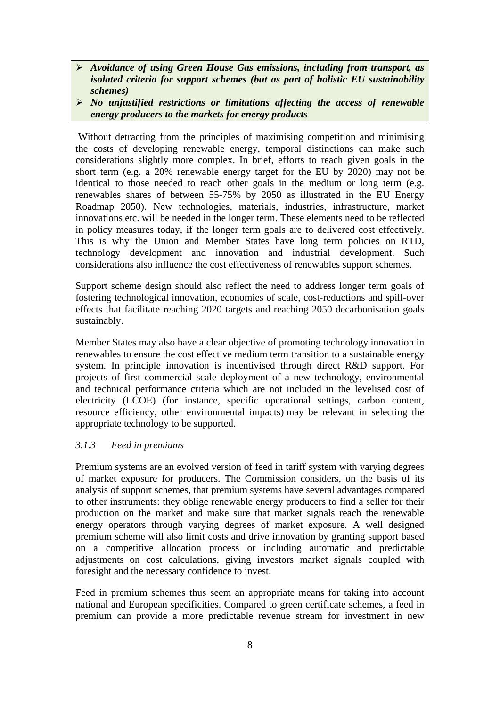- ¾ *Avoidance of using Green House Gas emissions, including from transport, as isolated criteria for support schemes (but as part of holistic EU sustainability schemes)*
- ¾ *No unjustified restrictions or limitations affecting the access of renewable energy producers to the markets for energy products*

 Without detracting from the principles of maximising competition and minimising the costs of developing renewable energy, temporal distinctions can make such considerations slightly more complex. In brief, efforts to reach given goals in the short term (e.g. a 20% renewable energy target for the EU by 2020) may not be identical to those needed to reach other goals in the medium or long term (e.g. renewables shares of between 55-75% by 2050 as illustrated in the EU Energy Roadmap 2050). New technologies, materials, industries, infrastructure, market innovations etc. will be needed in the longer term. These elements need to be reflected in policy measures today, if the longer term goals are to delivered cost effectively. This is why the Union and Member States have long term policies on RTD, technology development and innovation and industrial development. Such considerations also influence the cost effectiveness of renewables support schemes.

Support scheme design should also reflect the need to address longer term goals of fostering technological innovation, economies of scale, cost-reductions and spill-over effects that facilitate reaching 2020 targets and reaching 2050 decarbonisation goals sustainably.

Member States may also have a clear objective of promoting technology innovation in renewables to ensure the cost effective medium term transition to a sustainable energy system. In principle innovation is incentivised through direct R&D support. For projects of first commercial scale deployment of a new technology, environmental and technical performance criteria which are not included in the levelised cost of electricity (LCOE) (for instance, specific operational settings, carbon content, resource efficiency, other environmental impacts) may be relevant in selecting the appropriate technology to be supported.

#### *3.1.3 Feed in premiums*

Premium systems are an evolved version of feed in tariff system with varying degrees of market exposure for producers. The Commission considers, on the basis of its analysis of support schemes, that premium systems have several advantages compared to other instruments: they oblige renewable energy producers to find a seller for their production on the market and make sure that market signals reach the renewable energy operators through varying degrees of market exposure. A well designed premium scheme will also limit costs and drive innovation by granting support based on a competitive allocation process or including automatic and predictable adjustments on cost calculations, giving investors market signals coupled with foresight and the necessary confidence to invest.

Feed in premium schemes thus seem an appropriate means for taking into account national and European specificities. Compared to green certificate schemes, a feed in premium can provide a more predictable revenue stream for investment in new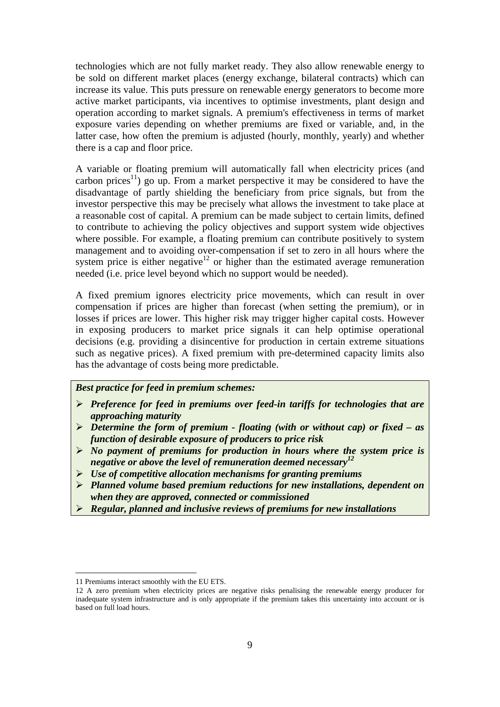technologies which are not fully market ready. They also allow renewable energy to be sold on different market places (energy exchange, bilateral contracts) which can increase its value. This puts pressure on renewable energy generators to become more active market participants, via incentives to optimise investments, plant design and operation according to market signals. A premium's effectiveness in terms of market exposure varies depending on whether premiums are fixed or variable, and, in the latter case, how often the premium is adjusted (hourly, monthly, yearly) and whether there is a cap and floor price.

A variable or floating premium will automatically fall when electricity prices (and carbon prices<sup>11</sup>) go up. From a market perspective it may be considered to have the disadvantage of partly shielding the beneficiary from price signals, but from the investor perspective this may be precisely what allows the investment to take place at a reasonable cost of capital. A premium can be made subject to certain limits, defined to contribute to achieving the policy objectives and support system wide objectives where possible. For example, a floating premium can contribute positively to system management and to avoiding over-compensation if set to zero in all hours where the system price is either negative<sup>12</sup> or higher than the estimated average remuneration needed (i.e. price level beyond which no support would be needed).

A fixed premium ignores electricity price movements, which can result in over compensation if prices are higher than forecast (when setting the premium), or in losses if prices are lower. This higher risk may trigger higher capital costs. However in exposing producers to market price signals it can help optimise operational decisions (e.g. providing a disincentive for production in certain extreme situations such as negative prices). A fixed premium with pre-determined capacity limits also has the advantage of costs being more predictable.

#### *Best practice for feed in premium schemes:*

- ¾ *Preference for feed in premiums over feed-in tariffs for technologies that are approaching maturity*
- ¾ *Determine the form of premium floating (with or without cap) or fixed as function of desirable exposure of producers to price risk*
- ¾ *No payment of premiums for production in hours where the system price is negative or above the level of remuneration deemed necessary12*
- ¾ *Use of competitive allocation mechanisms for granting premiums*
- ¾ *Planned volume based premium reductions for new installations, dependent on when they are approved, connected or commissioned*
- ¾ *Regular, planned and inclusive reviews of premiums for new installations*

1

<sup>11</sup> Premiums interact smoothly with the EU ETS.

<sup>12</sup> A zero premium when electricity prices are negative risks penalising the renewable energy producer for inadequate system infrastructure and is only appropriate if the premium takes this uncertainty into account or is based on full load hours.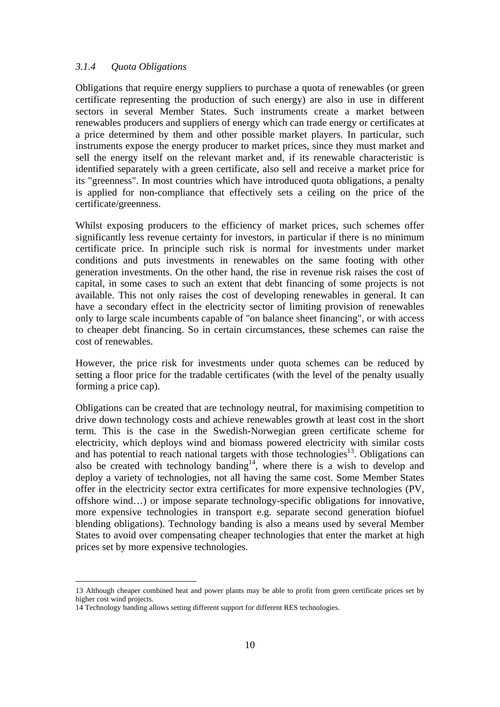## *3.1.4 Quota Obligations*

Obligations that require energy suppliers to purchase a quota of renewables (or green certificate representing the production of such energy) are also in use in different sectors in several Member States. Such instruments create a market between renewables producers and suppliers of energy which can trade energy or certificates at a price determined by them and other possible market players. In particular, such instruments expose the energy producer to market prices, since they must market and sell the energy itself on the relevant market and, if its renewable characteristic is identified separately with a green certificate, also sell and receive a market price for its "greenness". In most countries which have introduced quota obligations, a penalty is applied for non-compliance that effectively sets a ceiling on the price of the certificate/greenness.

Whilst exposing producers to the efficiency of market prices, such schemes offer significantly less revenue certainty for investors, in particular if there is no minimum certificate price. In principle such risk is normal for investments under market conditions and puts investments in renewables on the same footing with other generation investments. On the other hand, the rise in revenue risk raises the cost of capital, in some cases to such an extent that debt financing of some projects is not available. This not only raises the cost of developing renewables in general. It can have a secondary effect in the electricity sector of limiting provision of renewables only to large scale incumbents capable of "on balance sheet financing", or with access to cheaper debt financing. So in certain circumstances, these schemes can raise the cost of renewables.

However, the price risk for investments under quota schemes can be reduced by setting a floor price for the tradable certificates (with the level of the penalty usually forming a price cap).

Obligations can be created that are technology neutral, for maximising competition to drive down technology costs and achieve renewables growth at least cost in the short term. This is the case in the Swedish-Norwegian green certificate scheme for electricity, which deploys wind and biomass powered electricity with similar costs and has potential to reach national targets with those technologies<sup>13</sup>. Obligations can also be created with technology banding<sup>14</sup>, where there is a wish to develop and deploy a variety of technologies, not all having the same cost. Some Member States offer in the electricity sector extra certificates for more expensive technologies (PV, offshore wind…) or impose separate technology-specific obligations for innovative, more expensive technologies in transport e.g. separate second generation biofuel blending obligations). Technology banding is also a means used by several Member States to avoid over compensating cheaper technologies that enter the market at high prices set by more expensive technologies.

1

<sup>13</sup> Although cheaper combined heat and power plants may be able to profit from green certificate prices set by higher cost wind projects.

<sup>14</sup> Technology banding allows setting different support for different RES technologies.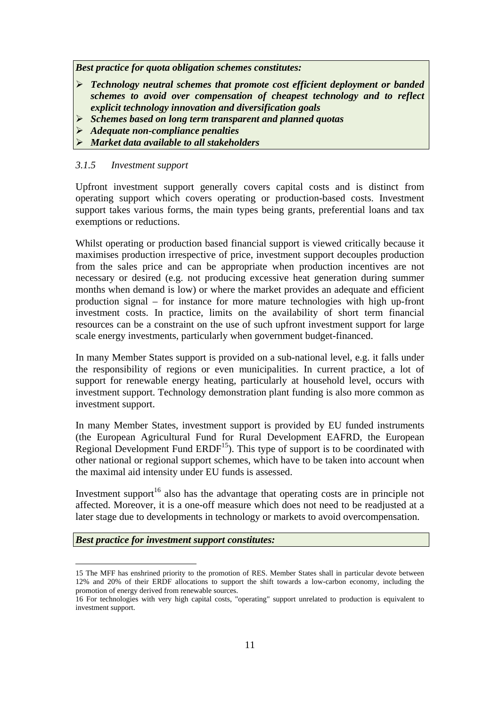*Best practice for quota obligation schemes constitutes:* 

- ¾ *Technology neutral schemes that promote cost efficient deployment or banded schemes to avoid over compensation of cheapest technology and to reflect explicit technology innovation and diversification goals*
- ¾ *Schemes based on long term transparent and planned quotas*
- ¾ *Adequate non-compliance penalties*
- ¾ *Market data available to all stakeholders*

## *3.1.5 Investment support*

Upfront investment support generally covers capital costs and is distinct from operating support which covers operating or production-based costs. Investment support takes various forms, the main types being grants, preferential loans and tax exemptions or reductions.

Whilst operating or production based financial support is viewed critically because it maximises production irrespective of price, investment support decouples production from the sales price and can be appropriate when production incentives are not necessary or desired (e.g. not producing excessive heat generation during summer months when demand is low) or where the market provides an adequate and efficient production signal – for instance for more mature technologies with high up-front investment costs. In practice, limits on the availability of short term financial resources can be a constraint on the use of such upfront investment support for large scale energy investments, particularly when government budget-financed.

In many Member States support is provided on a sub-national level, e.g. it falls under the responsibility of regions or even municipalities. In current practice, a lot of support for renewable energy heating, particularly at household level, occurs with investment support. Technology demonstration plant funding is also more common as investment support.

In many Member States, investment support is provided by EU funded instruments (the European Agricultural Fund for Rural Development EAFRD, the European Regional Development Fund  $ERDF<sup>15</sup>$ ). This type of support is to be coordinated with other national or regional support schemes, which have to be taken into account when the maximal aid intensity under EU funds is assessed.

Investment support<sup>16</sup> also has the advantage that operating costs are in principle not affected. Moreover, it is a one-off measure which does not need to be readjusted at a later stage due to developments in technology or markets to avoid overcompensation.

#### *Best practice for investment support constitutes:*

<sup>1</sup> 15 The MFF has enshrined priority to the promotion of RES. Member States shall in particular devote between 12% and 20% of their ERDF allocations to support the shift towards a low-carbon economy, including the promotion of energy derived from renewable sources.

<sup>16</sup> For technologies with very high capital costs, "operating" support unrelated to production is equivalent to investment support.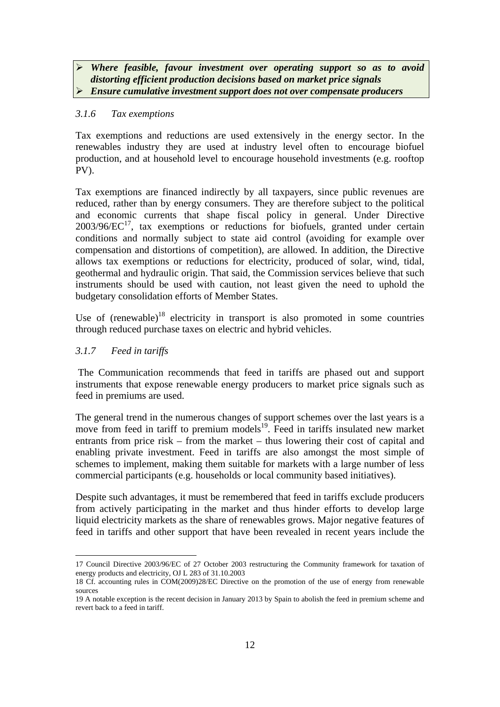# ¾ *Where feasible, favour investment over operating support so as to avoid distorting efficient production decisions based on market price signals* ¾ *Ensure cumulative investment support does not over compensate producers*

# *3.1.6 Tax exemptions*

Tax exemptions and reductions are used extensively in the energy sector. In the renewables industry they are used at industry level often to encourage biofuel production, and at household level to encourage household investments (e.g. rooftop PV).

Tax exemptions are financed indirectly by all taxpayers, since public revenues are reduced, rather than by energy consumers. They are therefore subject to the political and economic currents that shape fiscal policy in general. Under Directive  $2003/96/EC^{17}$ , tax exemptions or reductions for biofuels, granted under certain conditions and normally subject to state aid control (avoiding for example over compensation and distortions of competition), are allowed. In addition, the Directive allows tax exemptions or reductions for electricity, produced of solar, wind, tidal, geothermal and hydraulic origin. That said, the Commission services believe that such instruments should be used with caution, not least given the need to uphold the budgetary consolidation efforts of Member States.

Use of (renewable)<sup>18</sup> electricity in transport is also promoted in some countries through reduced purchase taxes on electric and hybrid vehicles.

# *3.1.7 Feed in tariffs*

<u>.</u>

 The Communication recommends that feed in tariffs are phased out and support instruments that expose renewable energy producers to market price signals such as feed in premiums are used.

The general trend in the numerous changes of support schemes over the last years is a move from feed in tariff to premium models<sup>19</sup>. Feed in tariffs insulated new market entrants from price risk – from the market – thus lowering their cost of capital and enabling private investment. Feed in tariffs are also amongst the most simple of schemes to implement, making them suitable for markets with a large number of less commercial participants (e.g. households or local community based initiatives).

Despite such advantages, it must be remembered that feed in tariffs exclude producers from actively participating in the market and thus hinder efforts to develop large liquid electricity markets as the share of renewables grows. Major negative features of feed in tariffs and other support that have been revealed in recent years include the

<sup>17</sup> Council Directive 2003/96/EC of 27 October 2003 restructuring the Community framework for taxation of energy products and electricity, OJ L 283 of 31.10.2003

<sup>18</sup> Cf. accounting rules in COM(2009)28/EC Directive on the promotion of the use of energy from renewable sources

<sup>19</sup> A notable exception is the recent decision in January 2013 by Spain to abolish the feed in premium scheme and revert back to a feed in tariff.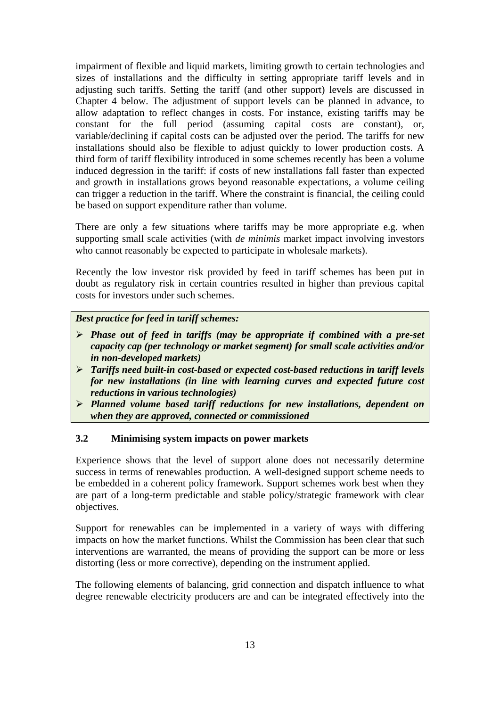impairment of flexible and liquid markets, limiting growth to certain technologies and sizes of installations and the difficulty in setting appropriate tariff levels and in adjusting such tariffs. Setting the tariff (and other support) levels are discussed in Chapter 4 below. The adjustment of support levels can be planned in advance, to allow adaptation to reflect changes in costs. For instance, existing tariffs may be constant for the full period (assuming capital costs are constant), or, variable/declining if capital costs can be adjusted over the period. The tariffs for new installations should also be flexible to adjust quickly to lower production costs. A third form of tariff flexibility introduced in some schemes recently has been a volume induced degression in the tariff: if costs of new installations fall faster than expected and growth in installations grows beyond reasonable expectations, a volume ceiling can trigger a reduction in the tariff. Where the constraint is financial, the ceiling could be based on support expenditure rather than volume.

There are only a few situations where tariffs may be more appropriate e.g. when supporting small scale activities (with *de minimis* market impact involving investors who cannot reasonably be expected to participate in wholesale markets).

Recently the low investor risk provided by feed in tariff schemes has been put in doubt as regulatory risk in certain countries resulted in higher than previous capital costs for investors under such schemes.

*Best practice for feed in tariff schemes:* 

- ¾ *Phase out of feed in tariffs (may be appropriate if combined with a pre-set capacity cap (per technology or market segment) for small scale activities and/or in non-developed markets)*
- ¾ *Tariffs need built-in cost-based or expected cost-based reductions in tariff levels for new installations (in line with learning curves and expected future cost reductions in various technologies)*
- ¾ *Planned volume based tariff reductions for new installations, dependent on when they are approved, connected or commissioned*

# **3.2 Minimising system impacts on power markets**

Experience shows that the level of support alone does not necessarily determine success in terms of renewables production. A well-designed support scheme needs to be embedded in a coherent policy framework. Support schemes work best when they are part of a long-term predictable and stable policy/strategic framework with clear objectives.

Support for renewables can be implemented in a variety of ways with differing impacts on how the market functions. Whilst the Commission has been clear that such interventions are warranted, the means of providing the support can be more or less distorting (less or more corrective), depending on the instrument applied.

The following elements of balancing, grid connection and dispatch influence to what degree renewable electricity producers are and can be integrated effectively into the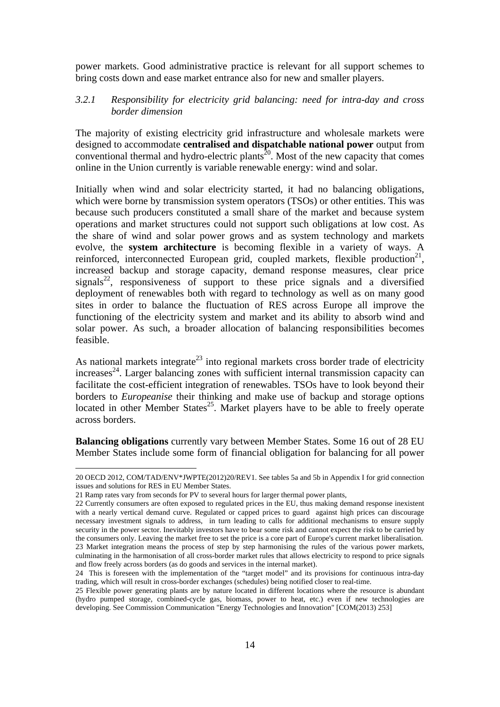power markets. Good administrative practice is relevant for all support schemes to bring costs down and ease market entrance also for new and smaller players.

## *3.2.1 Responsibility for electricity grid balancing: need for intra-day and cross border dimension*

The majority of existing electricity grid infrastructure and wholesale markets were designed to accommodate **centralised and dispatchable national power** output from conventional thermal and hydro-electric plants<sup>20</sup>. Most of the new capacity that comes online in the Union currently is variable renewable energy: wind and solar.

Initially when wind and solar electricity started, it had no balancing obligations, which were borne by transmission system operators (TSOs) or other entities. This was because such producers constituted a small share of the market and because system operations and market structures could not support such obligations at low cost. As the share of wind and solar power grows and as system technology and markets evolve, the **system architecture** is becoming flexible in a variety of ways. A reinforced, interconnected European grid, coupled markets, flexible production<sup>21</sup>, increased backup and storage capacity, demand response measures, clear price signals<sup>22</sup>, responsiveness of support to these price signals and a diversified deployment of renewables both with regard to technology as well as on many good sites in order to balance the fluctuation of RES across Europe all improve the functioning of the electricity system and market and its ability to absorb wind and solar power. As such, a broader allocation of balancing responsibilities becomes feasible.

As national markets integrate<sup>23</sup> into regional markets cross border trade of electricity  $i$  increases<sup>24</sup>. Larger balancing zones with sufficient internal transmission capacity can facilitate the cost-efficient integration of renewables. TSOs have to look beyond their borders to *Europeanise* their thinking and make use of backup and storage options located in other Member States<sup>25</sup>. Market players have to be able to freely operate across borders.

**Balancing obligations** currently vary between Member States. Some 16 out of 28 EU Member States include some form of financial obligation for balancing for all power

<u>.</u>

<sup>20</sup> OECD 2012, COM/TAD/ENV\*JWPTE(2012)20/REV1. See tables 5a and 5b in Appendix I for grid connection issues and solutions for RES in EU Member States.

<sup>21</sup> Ramp rates vary from seconds for PV to several hours for larger thermal power plants,

<sup>22</sup> Currently consumers are often exposed to regulated prices in the EU, thus making demand response inexistent with a nearly vertical demand curve. Regulated or capped prices to guard against high prices can discourage necessary investment signals to address, in turn leading to calls for additional mechanisms to ensure supply security in the power sector. Inevitably investors have to bear some risk and cannot expect the risk to be carried by the consumers only. Leaving the market free to set the price is a core part of Europe's current market liberalisation. 23 Market integration means the process of step by step harmonising the rules of the various power markets, culminating in the harmonisation of all cross-border market rules that allows electricity to respond to price signals and flow freely across borders (as do goods and services in the internal market).

<sup>24</sup> This is foreseen with the implementation of the "target model" and its provisions for continuous intra-day trading, which will result in cross-border exchanges (schedules) being notified closer to real-time.

<sup>25</sup> Flexible power generating plants are by nature located in different locations where the resource is abundant (hydro pumped storage, combined-cycle gas, biomass, power to heat, etc.) even if new technologies are [developing. See Commission Communication "Energy Technologies and Innovation" \[COM\(2013\) 253\]](http://ec.europa.eu/energy/technology/strategy/doc/comm_2013_0253_en.pdf)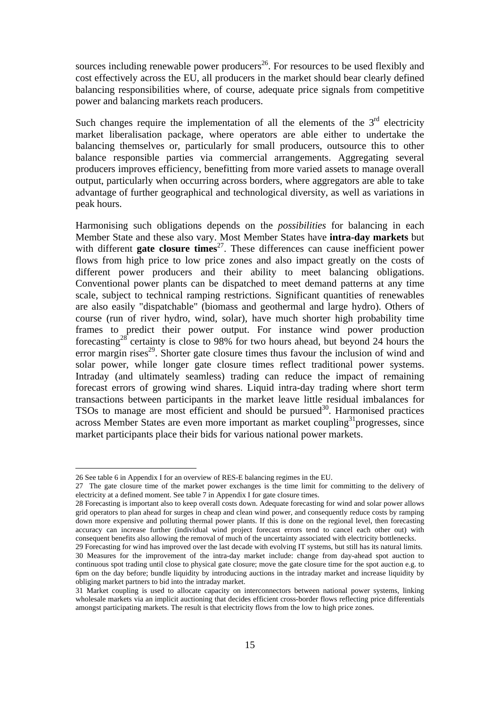sources including renewable power producers<sup>26</sup>. For resources to be used flexibly and cost effectively across the EU, all producers in the market should bear clearly defined balancing responsibilities where, of course, adequate price signals from competitive power and balancing markets reach producers.

Such changes require the implementation of all the elements of the  $3<sup>rd</sup>$  electricity market liberalisation package, where operators are able either to undertake the balancing themselves or, particularly for small producers, outsource this to other balance responsible parties via commercial arrangements. Aggregating several producers improves efficiency, benefitting from more varied assets to manage overall output, particularly when occurring across borders, where aggregators are able to take advantage of further geographical and technological diversity, as well as variations in peak hours.

Harmonising such obligations depends on the *possibilities* for balancing in each Member State and these also vary. Most Member States have **intra-day markets** but with different **gate closure times**<sup>27</sup>. These differences can cause inefficient power flows from high price to low price zones and also impact greatly on the costs of different power producers and their ability to meet balancing obligations. Conventional power plants can be dispatched to meet demand patterns at any time scale, subject to technical ramping restrictions. Significant quantities of renewables are also easily "dispatchable" (biomass and geothermal and large hydro). Others of course (run of river hydro, wind, solar), have much shorter high probability time frames to predict their power output. For instance wind power production forecasting<sup>28</sup> certainty is close to 98% for two hours ahead, but beyond 24 hours the error margin rises<sup>29</sup>. Shorter gate closure times thus favour the inclusion of wind and solar power, while longer gate closure times reflect traditional power systems. Intraday (and ultimately seamless) trading can reduce the impact of remaining forecast errors of growing wind shares. Liquid intra-day trading where short term transactions between participants in the market leave little residual imbalances for TSOs to manage are most efficient and should be pursued $30$ . Harmonised practices across Member States are even more important as market coupling<sup>31</sup> progresses, since market participants place their bids for various national power markets.

<u>.</u>

<sup>26</sup> See table 6 in Appendix I for an overview of RES-E balancing regimes in the EU.

<sup>27</sup> The gate closure time of the market power exchanges is the time limit for committing to the delivery of electricity at a defined moment. See table 7 in Appendix I for gate closure times.

<sup>28</sup> Forecasting is important also to keep overall costs down. Adequate forecasting for wind and solar power allows grid operators to plan ahead for surges in cheap and clean wind power, and consequently reduce costs by ramping down more expensive and polluting thermal power plants. If this is done on the regional level, then forecasting accuracy can increase further (individual wind project forecast errors tend to cancel each other out) with consequent benefits also allowing the removal of much of the uncertainty associated with electricity bottlenecks.

<sup>29</sup> Forecasting for wind has improved over the last decade with evolving IT systems, but still has its natural limits. 30 Measures for the improvement of the intra-day market include: change from day-ahead spot auction to continuous spot trading until close to physical gate closure; move the gate closure time for the spot auction e.g. to 6pm on the day before; bundle liquidity by introducing auctions in the intraday market and increase liquidity by obliging market partners to bid into the intraday market.

<sup>31</sup> Market coupling is used to allocate capacity on interconnectors between national power systems, linking wholesale markets via an implicit auctioning that decides efficient cross-border flows reflecting price differentials amongst participating markets. The result is that electricity flows from the low to high price zones.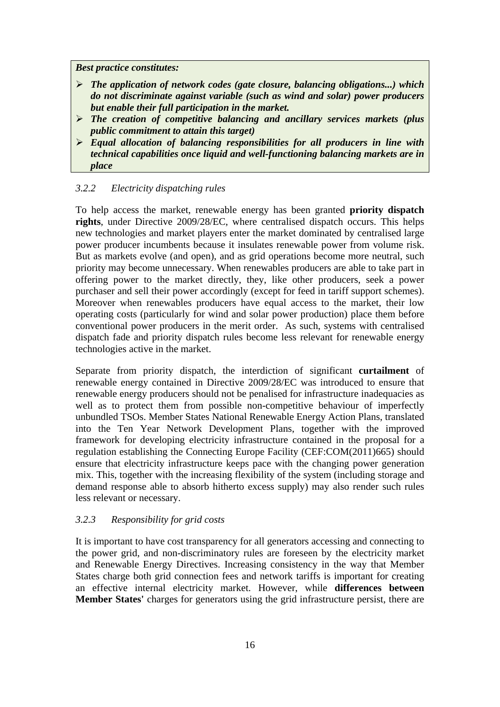*Best practice constitutes:* 

- ¾ *The application of network codes (gate closure, balancing obligations...) which do not discriminate against variable (such as wind and solar) power producers but enable their full participation in the market.*
- ¾ *The creation of competitive balancing and ancillary services markets (plus public commitment to attain this target)*
- ¾ *Equal allocation of balancing responsibilities for all producers in line with technical capabilities once liquid and well-functioning balancing markets are in place*

# *3.2.2 Electricity dispatching rules*

To help access the market, renewable energy has been granted **priority dispatch rights**, under Directive 2009/28/EC, where centralised dispatch occurs. This helps new technologies and market players enter the market dominated by centralised large power producer incumbents because it insulates renewable power from volume risk. But as markets evolve (and open), and as grid operations become more neutral, such priority may become unnecessary. When renewables producers are able to take part in offering power to the market directly, they, like other producers, seek a power purchaser and sell their power accordingly (except for feed in tariff support schemes). Moreover when renewables producers have equal access to the market, their low operating costs (particularly for wind and solar power production) place them before conventional power producers in the merit order. As such, systems with centralised dispatch fade and priority dispatch rules become less relevant for renewable energy technologies active in the market.

Separate from priority dispatch, the interdiction of significant **curtailment** of renewable energy contained in Directive 2009/28/EC was introduced to ensure that renewable energy producers should not be penalised for infrastructure inadequacies as well as to protect them from possible non-competitive behaviour of imperfectly unbundled TSOs. Member States National Renewable Energy Action Plans, translated into the Ten Year Network Development Plans, together with the improved framework for developing electricity infrastructure contained in the proposal for a regulation establishing the Connecting Europe Facility (CEF:COM(2011)665) should ensure that electricity infrastructure keeps pace with the changing power generation mix. This, together with the increasing flexibility of the system (including storage and demand response able to absorb hitherto excess supply) may also render such rules less relevant or necessary.

#### *3.2.3 Responsibility for grid costs*

It is important to have cost transparency for all generators accessing and connecting to the power grid, and non-discriminatory rules are foreseen by the electricity market and Renewable Energy Directives. Increasing consistency in the way that Member States charge both grid connection fees and network tariffs is important for creating an effective internal electricity market. However, while **differences between Member States'** charges for generators using the grid infrastructure persist, there are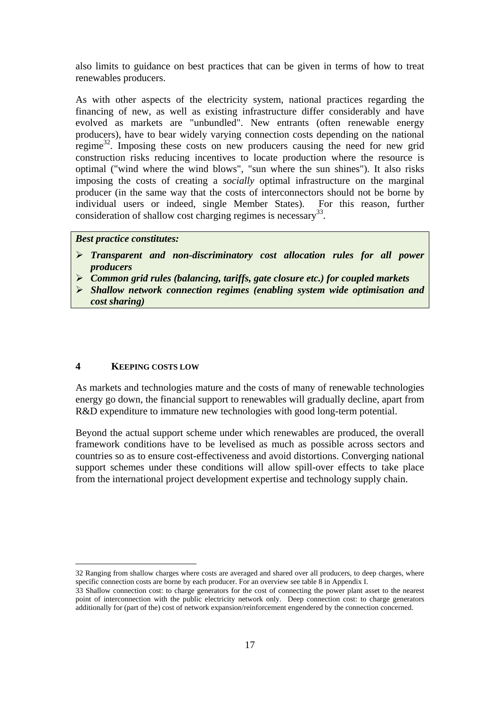also limits to guidance on best practices that can be given in terms of how to treat renewables producers.

As with other aspects of the electricity system, national practices regarding the financing of new, as well as existing infrastructure differ considerably and have evolved as markets are "unbundled". New entrants (often renewable energy producers), have to bear widely varying connection costs depending on the national regime<sup>32</sup>. Imposing these costs on new producers causing the need for new grid construction risks reducing incentives to locate production where the resource is optimal ("wind where the wind blows", "sun where the sun shines"). It also risks imposing the costs of creating a *socially* optimal infrastructure on the marginal producer (in the same way that the costs of interconnectors should not be borne by individual users or indeed, single Member States). For this reason, further consideration of shallow cost charging regimes is necessary<sup>33</sup>.

# *Best practice constitutes:*

- ¾ *Transparent and non-discriminatory cost allocation rules for all power producers*
- ¾ *Common grid rules (balancing, tariffs, gate closure etc.) for coupled markets*
- ¾ *Shallow network connection regimes (enabling system wide optimisation and cost sharing)*

## **4 KEEPING COSTS LOW**

1

As markets and technologies mature and the costs of many of renewable technologies energy go down, the financial support to renewables will gradually decline, apart from R&D expenditure to immature new technologies with good long-term potential.

Beyond the actual support scheme under which renewables are produced, the overall framework conditions have to be levelised as much as possible across sectors and countries so as to ensure cost-effectiveness and avoid distortions. Converging national support schemes under these conditions will allow spill-over effects to take place from the international project development expertise and technology supply chain.

<sup>32</sup> Ranging from shallow charges where costs are averaged and shared over all producers, to deep charges, where specific connection costs are borne by each producer. For an overview see table 8 in Appendix I.

<sup>33</sup> Shallow connection cost: to charge generators for the cost of connecting the power plant asset to the nearest point of interconnection with the public electricity network only. Deep connection cost: to charge generators additionally for (part of the) cost of network expansion/reinforcement engendered by the connection concerned.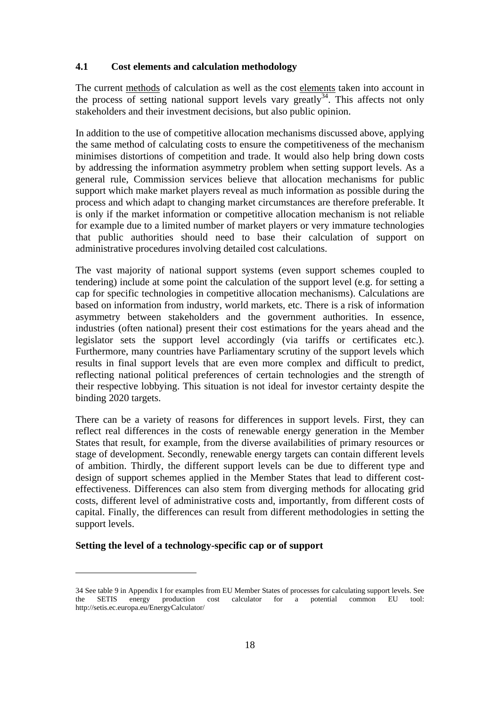#### **4.1 Cost elements and calculation methodology**

The current methods of calculation as well as the cost elements taken into account in the process of setting national support levels vary greatly  $\frac{3}{4}$ . This affects not only stakeholders and their investment decisions, but also public opinion.

In addition to the use of competitive allocation mechanisms discussed above, applying the same method of calculating costs to ensure the competitiveness of the mechanism minimises distortions of competition and trade. It would also help bring down costs by addressing the information asymmetry problem when setting support levels. As a general rule, Commission services believe that allocation mechanisms for public support which make market players reveal as much information as possible during the process and which adapt to changing market circumstances are therefore preferable. It is only if the market information or competitive allocation mechanism is not reliable for example due to a limited number of market players or very immature technologies that public authorities should need to base their calculation of support on administrative procedures involving detailed cost calculations.

The vast majority of national support systems (even support schemes coupled to tendering) include at some point the calculation of the support level (e.g. for setting a cap for specific technologies in competitive allocation mechanisms). Calculations are based on information from industry, world markets, etc. There is a risk of information asymmetry between stakeholders and the government authorities. In essence, industries (often national) present their cost estimations for the years ahead and the legislator sets the support level accordingly (via tariffs or certificates etc.). Furthermore, many countries have Parliamentary scrutiny of the support levels which results in final support levels that are even more complex and difficult to predict, reflecting national political preferences of certain technologies and the strength of their respective lobbying. This situation is not ideal for investor certainty despite the binding 2020 targets.

There can be a variety of reasons for differences in support levels. First, they can reflect real differences in the costs of renewable energy generation in the Member States that result, for example, from the diverse availabilities of primary resources or stage of development. Secondly, renewable energy targets can contain different levels of ambition. Thirdly, the different support levels can be due to different type and design of support schemes applied in the Member States that lead to different costeffectiveness. Differences can also stem from diverging methods for allocating grid costs, different level of administrative costs and, importantly, from different costs of capital. Finally, the differences can result from different methodologies in setting the support levels.

#### **Setting the level of a technology-specific cap or of support**

1

<sup>34</sup> See table 9 in Appendix I for examples from EU Member States of processes for calculating support levels. See the SETIS energy production cost calculator for a potential common EU tool: <http://setis.ec.europa.eu/EnergyCalculator/>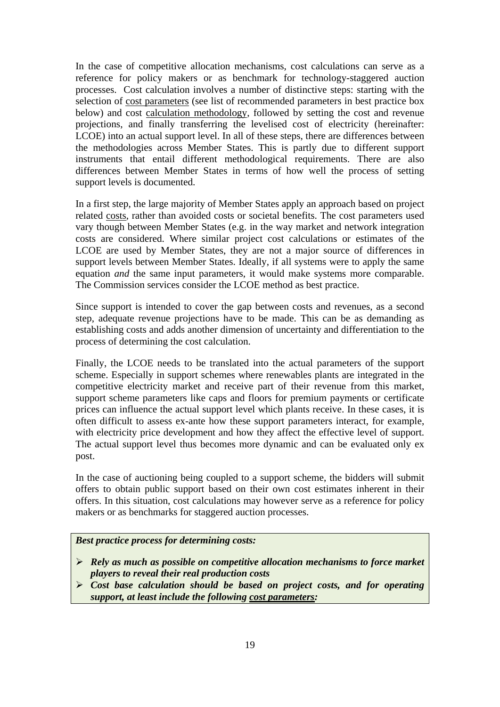In the case of competitive allocation mechanisms, cost calculations can serve as a reference for policy makers or as benchmark for technology-staggered auction processes. Cost calculation involves a number of distinctive steps: starting with the selection of cost parameters (see list of recommended parameters in best practice box below) and cost calculation methodology, followed by setting the cost and revenue projections, and finally transferring the levelised cost of electricity (hereinafter: LCOE) into an actual support level. In all of these steps, there are differences between the methodologies across Member States. This is partly due to different support instruments that entail different methodological requirements. There are also differences between Member States in terms of how well the process of setting support levels is documented.

In a first step, the large majority of Member States apply an approach based on project related costs, rather than avoided costs or societal benefits. The cost parameters used vary though between Member States (e.g. in the way market and network integration costs are considered. Where similar project cost calculations or estimates of the LCOE are used by Member States, they are not a major source of differences in support levels between Member States. Ideally, if all systems were to apply the same equation *and* the same input parameters, it would make systems more comparable. The Commission services consider the LCOE method as best practice.

Since support is intended to cover the gap between costs and revenues, as a second step, adequate revenue projections have to be made. This can be as demanding as establishing costs and adds another dimension of uncertainty and differentiation to the process of determining the cost calculation.

Finally, the LCOE needs to be translated into the actual parameters of the support scheme. Especially in support schemes where renewables plants are integrated in the competitive electricity market and receive part of their revenue from this market, support scheme parameters like caps and floors for premium payments or certificate prices can influence the actual support level which plants receive. In these cases, it is often difficult to assess ex-ante how these support parameters interact, for example, with electricity price development and how they affect the effective level of support. The actual support level thus becomes more dynamic and can be evaluated only ex post.

In the case of auctioning being coupled to a support scheme, the bidders will submit offers to obtain public support based on their own cost estimates inherent in their offers. In this situation, cost calculations may however serve as a reference for policy makers or as benchmarks for staggered auction processes.

### *Best practice process for determining costs:*

- ¾ *Rely as much as possible on competitive allocation mechanisms to force market players to reveal their real production costs*
- ¾ *Cost base calculation should be based on project costs, and for operating support, at least include the following cost parameters:*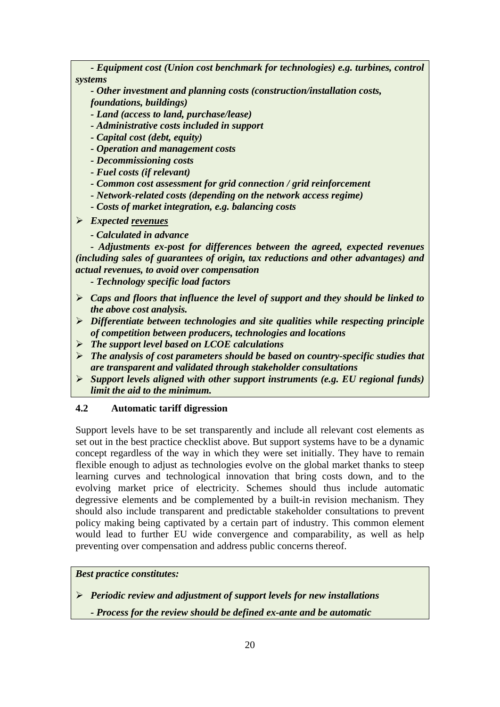*- Equipment cost (Union cost benchmark for technologies) e.g. turbines, control systems* 

*- Other investment and planning costs (construction/installation costs, foundations, buildings)* 

*- Land (access to land, purchase/lease)* 

*- Administrative costs included in support* 

*- Capital cost (debt, equity)* 

*- Operation and management costs* 

*- Decommissioning costs* 

*- Fuel costs (if relevant)* 

*- Common cost assessment for grid connection / grid reinforcement* 

*- Network-related costs (depending on the network access regime)* 

*- Costs of market integration, e.g. balancing costs* 

¾ *Expected revenues* 

*- Calculated in advance* 

*- Adjustments ex-post for differences between the agreed, expected revenues (including sales of guarantees of origin, tax reductions and other advantages) and actual revenues, to avoid over compensation* 

*- Technology specific load factors* 

¾ *Caps and floors that influence the level of support and they should be linked to the above cost analysis.* 

¾ *Differentiate between technologies and site qualities while respecting principle of competition between producers, technologies and locations* 

¾ *The support level based on LCOE calculations* 

- ¾ *The analysis of cost parameters should be based on country-specific studies that are transparent and validated through stakeholder consultations*
- ¾ *Support levels aligned with other support instruments (e.g. EU regional funds) limit the aid to the minimum.*

# **4.2 Automatic tariff digression**

Support levels have to be set transparently and include all relevant cost elements as set out in the best practice checklist above. But support systems have to be a dynamic concept regardless of the way in which they were set initially. They have to remain flexible enough to adjust as technologies evolve on the global market thanks to steep learning curves and technological innovation that bring costs down, and to the evolving market price of electricity. Schemes should thus include automatic degressive elements and be complemented by a built-in revision mechanism. They should also include transparent and predictable stakeholder consultations to prevent policy making being captivated by a certain part of industry. This common element would lead to further EU wide convergence and comparability, as well as help preventing over compensation and address public concerns thereof.

*Best practice constitutes:* 

¾ *Periodic review and adjustment of support levels for new installations* 

*- Process for the review should be defined ex-ante and be automatic*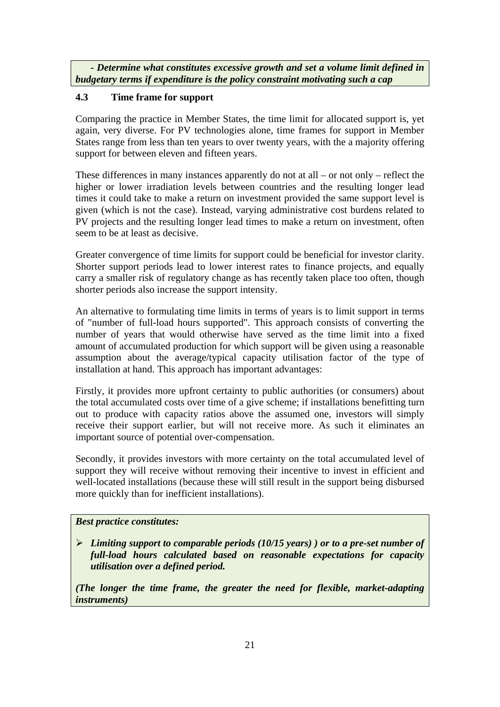*- Determine what constitutes excessive growth and set a volume limit defined in budgetary terms if expenditure is the policy constraint motivating such a cap* 

# **4.3 Time frame for support**

Comparing the practice in Member States, the time limit for allocated support is, yet again, very diverse. For PV technologies alone, time frames for support in Member States range from less than ten years to over twenty years, with the a majority offering support for between eleven and fifteen years.

These differences in many instances apparently do not at all – or not only – reflect the higher or lower irradiation levels between countries and the resulting longer lead times it could take to make a return on investment provided the same support level is given (which is not the case). Instead, varying administrative cost burdens related to PV projects and the resulting longer lead times to make a return on investment, often seem to be at least as decisive.

Greater convergence of time limits for support could be beneficial for investor clarity. Shorter support periods lead to lower interest rates to finance projects, and equally carry a smaller risk of regulatory change as has recently taken place too often, though shorter periods also increase the support intensity.

An alternative to formulating time limits in terms of years is to limit support in terms of "number of full-load hours supported". This approach consists of converting the number of years that would otherwise have served as the time limit into a fixed amount of accumulated production for which support will be given using a reasonable assumption about the average/typical capacity utilisation factor of the type of installation at hand. This approach has important advantages:

Firstly, it provides more upfront certainty to public authorities (or consumers) about the total accumulated costs over time of a give scheme; if installations benefitting turn out to produce with capacity ratios above the assumed one, investors will simply receive their support earlier, but will not receive more. As such it eliminates an important source of potential over-compensation.

Secondly, it provides investors with more certainty on the total accumulated level of support they will receive without removing their incentive to invest in efficient and well-located installations (because these will still result in the support being disbursed more quickly than for inefficient installations).

# *Best practice constitutes:*

¾ *Limiting support to comparable periods (10/15 years) ) or to a pre-set number of full-load hours calculated based on reasonable expectations for capacity utilisation over a defined period.* 

*(The longer the time frame, the greater the need for flexible, market-adapting instruments)*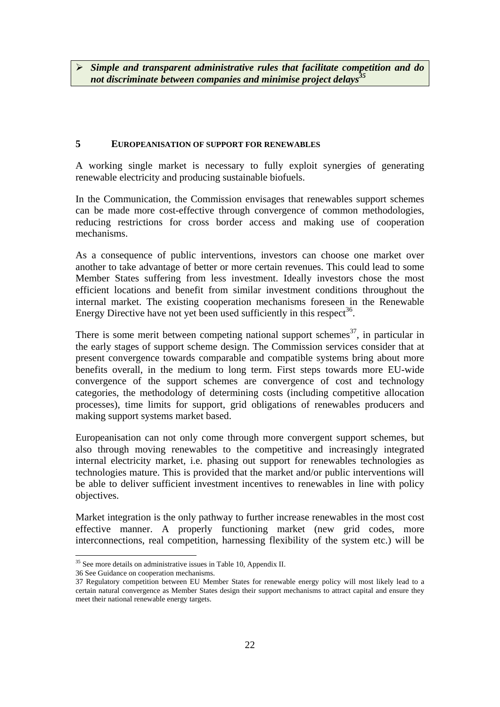¾ *Simple and transparent administrative rules that facilitate competition and do*  not discriminate between companies and minimise project delays<sup>35</sup>

#### **5 EUROPEANISATION OF SUPPORT FOR RENEWABLES**

A working single market is necessary to fully exploit synergies of generating renewable electricity and producing sustainable biofuels.

In the Communication, the Commission envisages that renewables support schemes can be made more cost-effective through convergence of common methodologies, reducing restrictions for cross border access and making use of cooperation mechanisms.

As a consequence of public interventions, investors can choose one market over another to take advantage of better or more certain revenues. This could lead to some Member States suffering from less investment. Ideally investors chose the most efficient locations and benefit from similar investment conditions throughout the internal market. The existing cooperation mechanisms foreseen in the Renewable Energy Directive have not yet been used sufficiently in this respect<sup>36</sup>.

There is some merit between competing national support schemes<sup>37</sup>, in particular in the early stages of support scheme design. The Commission services consider that at present convergence towards comparable and compatible systems bring about more benefits overall, in the medium to long term. First steps towards more EU-wide convergence of the support schemes are convergence of cost and technology categories, the methodology of determining costs (including competitive allocation processes), time limits for support, grid obligations of renewables producers and making support systems market based.

Europeanisation can not only come through more convergent support schemes, but also through moving renewables to the competitive and increasingly integrated internal electricity market, i.e. phasing out support for renewables technologies as technologies mature. This is provided that the market and/or public interventions will be able to deliver sufficient investment incentives to renewables in line with policy objectives.

Market integration is the only pathway to further increase renewables in the most cost effective manner. A properly functioning market (new grid codes, more interconnections, real competition, harnessing flexibility of the system etc.) will be

<u>.</u>

<sup>&</sup>lt;sup>35</sup> See more details on administrative issues in Table 10, Appendix II.

<sup>36</sup> See Guidance on cooperation mechanisms.

<sup>37</sup> Regulatory competition between EU Member States for renewable energy policy will most likely lead to a certain natural convergence as Member States design their support mechanisms to attract capital and ensure they meet their national renewable energy targets.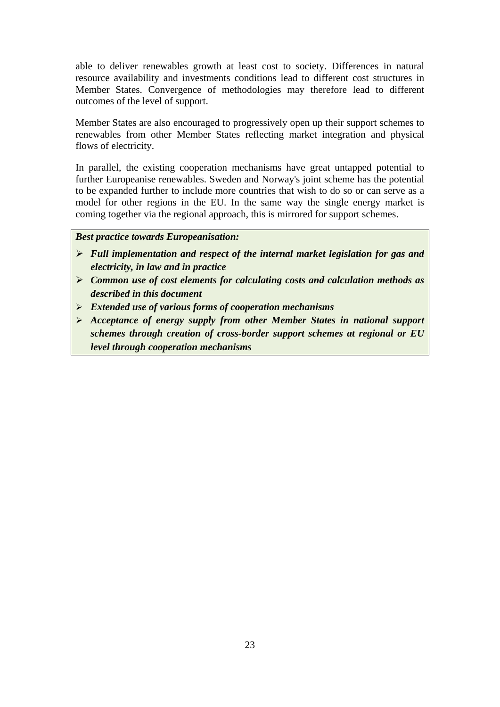able to deliver renewables growth at least cost to society. Differences in natural resource availability and investments conditions lead to different cost structures in Member States. Convergence of methodologies may therefore lead to different outcomes of the level of support.

Member States are also encouraged to progressively open up their support schemes to renewables from other Member States reflecting market integration and physical flows of electricity.

In parallel, the existing cooperation mechanisms have great untapped potential to further Europeanise renewables. Sweden and Norway's joint scheme has the potential to be expanded further to include more countries that wish to do so or can serve as a model for other regions in the EU. In the same way the single energy market is coming together via the regional approach, this is mirrored for support schemes.

# *Best practice towards Europeanisation:*

- ¾ *Full implementation and respect of the internal market legislation for gas and electricity, in law and in practice*
- ¾ *Common use of cost elements for calculating costs and calculation methods as described in this document*
- ¾ *Extended use of various forms of cooperation mechanisms*
- ¾ *Acceptance of energy supply from other Member States in national support schemes through creation of cross-border support schemes at regional or EU level through cooperation mechanisms*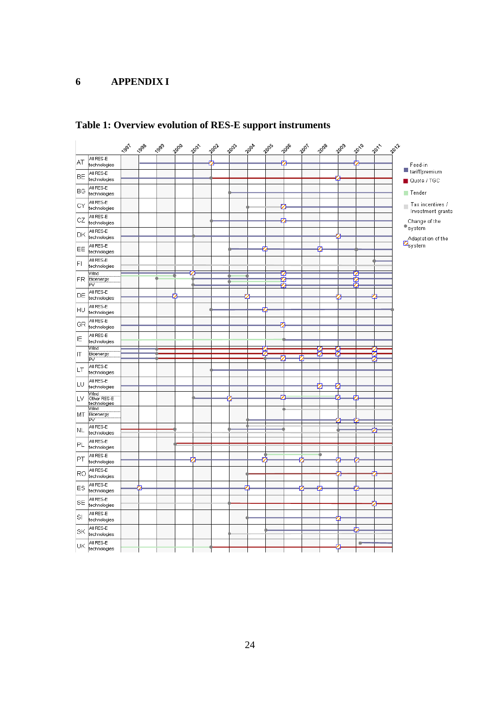## **6 APPENDIX I**



## **Table 1: Overview evolution of RES-E support instruments**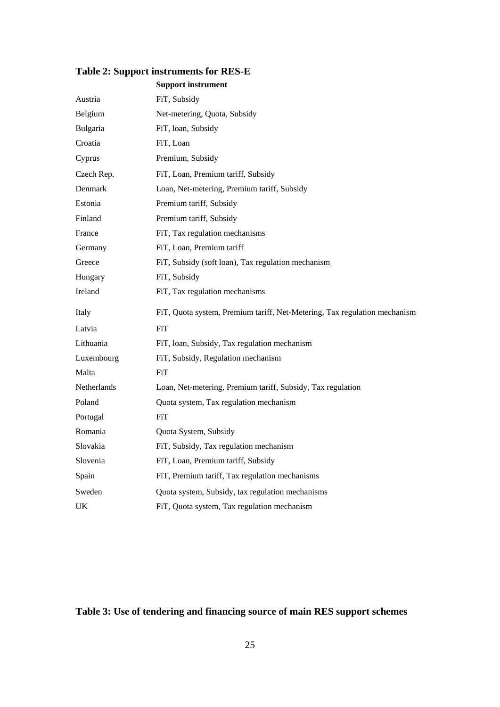# **Table 2: Support instruments for RES-E**

|             | <b>Support instrument</b>                                                 |
|-------------|---------------------------------------------------------------------------|
| Austria     | FiT, Subsidy                                                              |
| Belgium     | Net-metering, Quota, Subsidy                                              |
| Bulgaria    | FiT, loan, Subsidy                                                        |
| Croatia     | FiT, Loan                                                                 |
| Cyprus      | Premium, Subsidy                                                          |
| Czech Rep.  | FiT, Loan, Premium tariff, Subsidy                                        |
| Denmark     | Loan, Net-metering, Premium tariff, Subsidy                               |
| Estonia     | Premium tariff, Subsidy                                                   |
| Finland     | Premium tariff, Subsidy                                                   |
| France      | FiT, Tax regulation mechanisms                                            |
| Germany     | FiT, Loan, Premium tariff                                                 |
| Greece      | FiT, Subsidy (soft loan), Tax regulation mechanism                        |
| Hungary     | FiT, Subsidy                                                              |
| Ireland     | FiT, Tax regulation mechanisms                                            |
| Italy       | FiT, Quota system, Premium tariff, Net-Metering, Tax regulation mechanism |
| Latvia      | <b>FiT</b>                                                                |
| Lithuania   | FiT, loan, Subsidy, Tax regulation mechanism                              |
| Luxembourg  | FiT, Subsidy, Regulation mechanism                                        |
| Malta       | FiT                                                                       |
| Netherlands | Loan, Net-metering, Premium tariff, Subsidy, Tax regulation               |
| Poland      | Quota system, Tax regulation mechanism                                    |
| Portugal    | <b>FiT</b>                                                                |
| Romania     | Quota System, Subsidy                                                     |
| Slovakia    | FiT, Subsidy, Tax regulation mechanism                                    |
| Slovenia    | FiT, Loan, Premium tariff, Subsidy                                        |
| Spain       | FiT, Premium tariff, Tax regulation mechanisms                            |
| Sweden      | Quota system, Subsidy, tax regulation mechanisms                          |
| UK          | FiT, Quota system, Tax regulation mechanism                               |

# **Table 3: Use of tendering and financing source of main RES support schemes**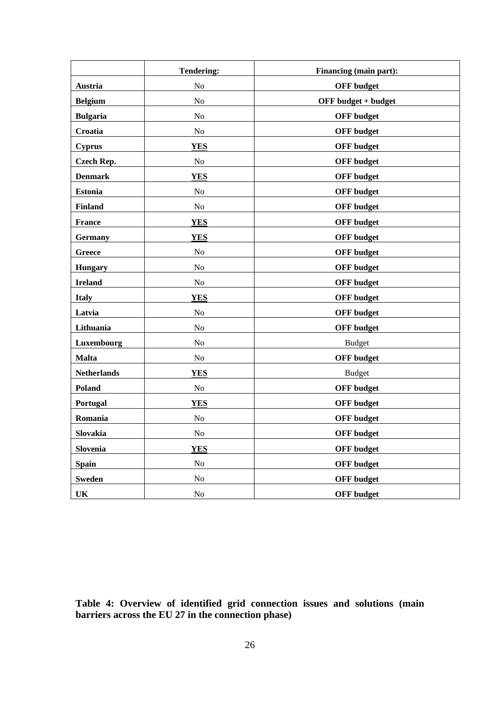|                    | <b>Tendering:</b> | Financing (main part): |
|--------------------|-------------------|------------------------|
| Austria            | No                | <b>OFF</b> budget      |
| <b>Belgium</b>     | No                | OFF budget + budget    |
| <b>Bulgaria</b>    | N <sub>o</sub>    | <b>OFF</b> budget      |
| Croatia            | No                | <b>OFF</b> budget      |
| <b>Cyprus</b>      | <b>YES</b>        | <b>OFF</b> budget      |
| Czech Rep.         | No                | <b>OFF</b> budget      |
| <b>Denmark</b>     | <b>YES</b>        | <b>OFF</b> budget      |
| <b>Estonia</b>     | No                | <b>OFF</b> budget      |
| <b>Finland</b>     | No                | <b>OFF</b> budget      |
| France             | <b>YES</b>        | <b>OFF</b> budget      |
| <b>Germany</b>     | <b>YES</b>        | <b>OFF</b> budget      |
| Greece             | No                | <b>OFF</b> budget      |
| <b>Hungary</b>     | N <sub>o</sub>    | <b>OFF</b> budget      |
| <b>Ireland</b>     | No                | <b>OFF</b> budget      |
| <b>Italy</b>       | <b>YES</b>        | <b>OFF</b> budget      |
| Latvia             | No                | <b>OFF</b> budget      |
| Lithuania          | N <sub>0</sub>    | <b>OFF</b> budget      |
| Luxembourg         | No                | <b>Budget</b>          |
| <b>Malta</b>       | No                | <b>OFF</b> budget      |
| <b>Netherlands</b> | <b>YES</b>        | <b>Budget</b>          |
| Poland             | N <sub>0</sub>    | <b>OFF</b> budget      |
| Portugal           | <b>YES</b>        | <b>OFF</b> budget      |
| Romania            | No                | <b>OFF</b> budget      |
| Slovakia           | No                | <b>OFF</b> budget      |
| Slovenia           | <b>YES</b>        | <b>OFF</b> budget      |
| <b>Spain</b>       | $\rm No$          | <b>OFF</b> budget      |
| <b>Sweden</b>      | $\rm No$          | <b>OFF</b> budget      |
| UK                 | $\rm No$          | <b>OFF</b> budget      |

**Table 4: Overview of identified grid connection issues and solutions (main barriers across the EU 27 in the connection phase)**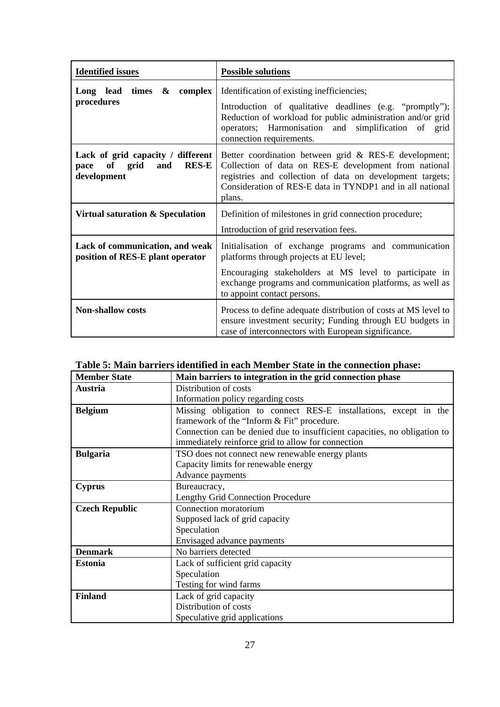| <b>Identified issues</b>                                            | <b>Possible solutions</b>                                                                                                                                                                                                                                                                         |
|---------------------------------------------------------------------|---------------------------------------------------------------------------------------------------------------------------------------------------------------------------------------------------------------------------------------------------------------------------------------------------|
| Long lead times $\&$ complex                                        | Identification of existing inefficiencies;                                                                                                                                                                                                                                                        |
| procedures                                                          | Introduction of qualitative deadlines (e.g. "promptly");<br>Reduction of workload for public administration and/or grid<br>operators; Harmonisation and simplification of grid<br>connection requirements.                                                                                        |
| <b>RES-E</b><br>of grid<br>and<br>pace<br>development               | <b>Lack of grid capacity / different   Better coordination between grid &amp; RES-E development;</b><br>Collection of data on RES-E development from national<br>registries and collection of data on development targets;<br>Consideration of RES-E data in TYNDP1 and in all national<br>plans. |
| Virtual saturation & Speculation                                    | Definition of milestones in grid connection procedure;                                                                                                                                                                                                                                            |
|                                                                     | Introduction of grid reservation fees.                                                                                                                                                                                                                                                            |
| Lack of communication, and weak<br>position of RES-E plant operator | Initialisation of exchange programs and communication<br>platforms through projects at EU level;                                                                                                                                                                                                  |
|                                                                     | Encouraging stakeholders at MS level to participate in<br>exchange programs and communication platforms, as well as<br>to appoint contact persons.                                                                                                                                                |
| <b>Non-shallow costs</b>                                            | Process to define adequate distribution of costs at MS level to<br>ensure investment security; Funding through EU budgets in<br>case of interconnectors with European significance.                                                                                                               |

| Table 5: Main barriers identified in each Member State in the connection phase: |  |
|---------------------------------------------------------------------------------|--|
|---------------------------------------------------------------------------------|--|

| <b>Member State</b>   | Main barriers to integration in the grid connection phase                 |  |  |
|-----------------------|---------------------------------------------------------------------------|--|--|
| Austria               | Distribution of costs                                                     |  |  |
|                       | Information policy regarding costs                                        |  |  |
| <b>Belgium</b>        | Missing obligation to connect RES-E installations, except in the          |  |  |
|                       | framework of the "Inform & Fit" procedure.                                |  |  |
|                       | Connection can be denied due to insufficient capacities, no obligation to |  |  |
|                       | immediately reinforce grid to allow for connection                        |  |  |
| <b>Bulgaria</b>       | TSO does not connect new renewable energy plants                          |  |  |
|                       | Capacity limits for renewable energy                                      |  |  |
|                       | Advance payments                                                          |  |  |
| <b>Cyprus</b>         | Bureaucracy,                                                              |  |  |
|                       | Lengthy Grid Connection Procedure                                         |  |  |
| <b>Czech Republic</b> | Connection moratorium                                                     |  |  |
|                       | Supposed lack of grid capacity                                            |  |  |
|                       | Speculation                                                               |  |  |
|                       | Envisaged advance payments                                                |  |  |
| <b>Denmark</b>        | No barriers detected                                                      |  |  |
| <b>Estonia</b>        | Lack of sufficient grid capacity                                          |  |  |
|                       | Speculation                                                               |  |  |
|                       | Testing for wind farms                                                    |  |  |
| <b>Finland</b>        | Lack of grid capacity                                                     |  |  |
|                       | Distribution of costs                                                     |  |  |
|                       | Speculative grid applications                                             |  |  |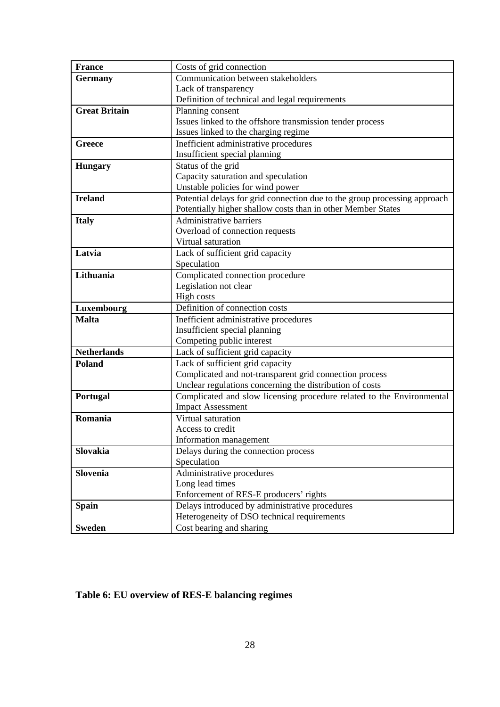| <b>France</b>        | Costs of grid connection                                                  |  |
|----------------------|---------------------------------------------------------------------------|--|
| <b>Germany</b>       | Communication between stakeholders                                        |  |
|                      | Lack of transparency                                                      |  |
|                      | Definition of technical and legal requirements                            |  |
| <b>Great Britain</b> | Planning consent                                                          |  |
|                      | Issues linked to the offshore transmission tender process                 |  |
|                      | Issues linked to the charging regime                                      |  |
| <b>Greece</b>        | Inefficient administrative procedures                                     |  |
|                      | Insufficient special planning                                             |  |
| <b>Hungary</b>       | Status of the grid                                                        |  |
|                      | Capacity saturation and speculation                                       |  |
|                      | Unstable policies for wind power                                          |  |
| <b>Ireland</b>       | Potential delays for grid connection due to the group processing approach |  |
|                      | Potentially higher shallow costs than in other Member States              |  |
| <b>Italy</b>         | Administrative barriers                                                   |  |
|                      | Overload of connection requests                                           |  |
|                      | Virtual saturation                                                        |  |
| Latvia               | Lack of sufficient grid capacity                                          |  |
|                      | Speculation                                                               |  |
| Lithuania            | Complicated connection procedure                                          |  |
|                      | Legislation not clear                                                     |  |
|                      | High costs                                                                |  |
| Luxembourg           | Definition of connection costs                                            |  |
| <b>Malta</b>         | Inefficient administrative procedures                                     |  |
|                      | Insufficient special planning                                             |  |
|                      | Competing public interest                                                 |  |
| <b>Netherlands</b>   | Lack of sufficient grid capacity                                          |  |
| Poland               | Lack of sufficient grid capacity                                          |  |
|                      | Complicated and not-transparent grid connection process                   |  |
|                      | Unclear regulations concerning the distribution of costs                  |  |
| Portugal             | Complicated and slow licensing procedure related to the Environmental     |  |
|                      | <b>Impact Assessment</b>                                                  |  |
| Romania              | Virtual saturation                                                        |  |
|                      | Access to credit                                                          |  |
|                      | Information management                                                    |  |
| Slovakia             | Delays during the connection process                                      |  |
|                      | Speculation                                                               |  |
| Slovenia             | Administrative procedures                                                 |  |
|                      | Long lead times                                                           |  |
|                      | Enforcement of RES-E producers' rights                                    |  |
| <b>Spain</b>         | Delays introduced by administrative procedures                            |  |
|                      | Heterogeneity of DSO technical requirements                               |  |
| <b>Sweden</b>        | Cost bearing and sharing                                                  |  |

# **Table 6: EU overview of RES-E balancing regimes**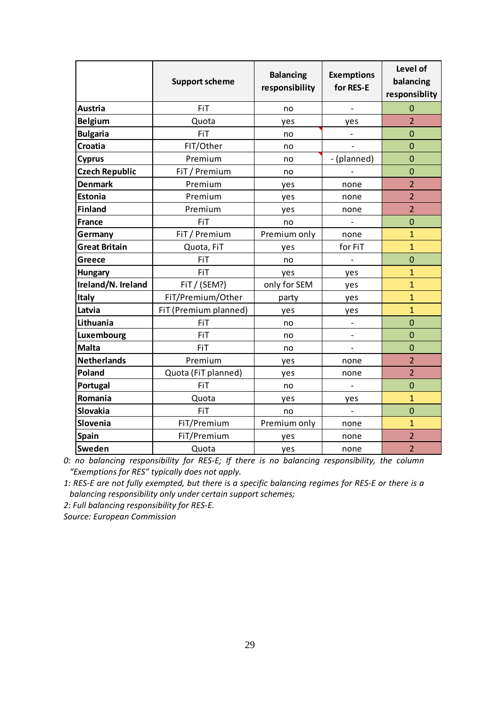|                       | <b>Support scheme</b> | <b>Balancing</b><br>responsibility | <b>Exemptions</b><br>for RES-E | Level of<br>balancing<br>responsiblity |
|-----------------------|-----------------------|------------------------------------|--------------------------------|----------------------------------------|
| <b>Austria</b>        | <b>FiT</b>            | no                                 | $\qquad \qquad -$              | 0                                      |
| <b>Belgium</b>        | Quota                 | yes                                | yes                            | $\overline{2}$                         |
| <b>Bulgaria</b>       | FiT                   | no                                 |                                | $\overline{0}$                         |
| Croatia               | FIT/Other             | no                                 | $\overline{\phantom{a}}$       | $\mathbf 0$                            |
| <b>Cyprus</b>         | Premium               | no                                 | - (planned)                    | $\mathbf{0}$                           |
| <b>Czech Republic</b> | FiT / Premium         | no                                 |                                | $\mathbf 0$                            |
| <b>Denmark</b>        | Premium               | yes                                | none                           | $\overline{2}$                         |
| <b>Estonia</b>        | Premium               | yes                                | none                           | $\overline{2}$                         |
| <b>Finland</b>        | Premium               | yes                                | none                           | $\overline{2}$                         |
| France                | FiT                   | no                                 |                                | $\overline{0}$                         |
| Germany               | FiT / Premium         | Premium only                       | none                           | $\overline{1}$                         |
| <b>Great Britain</b>  | Quota, FiT            | yes                                | for FiT                        | $\overline{1}$                         |
| <b>Greece</b>         | <b>FiT</b>            | no                                 |                                | $\overline{0}$                         |
| <b>Hungary</b>        | FiT                   | yes                                | yes                            | $\mathbf{1}$                           |
| Ireland/N. Ireland    | FiT / (SEM?)          | only for SEM                       | yes                            | $\overline{1}$                         |
| <b>Italy</b>          | FiT/Premium/Other     | party                              | yes                            | $\overline{1}$                         |
| Latvia                | FiT (Premium planned) | yes                                | yes                            | $\mathbf{1}$                           |
| Lithuania             | FiT                   | no                                 |                                | $\mathbf 0$                            |
| Luxembourg            | FiT                   | no                                 |                                | $\overline{0}$                         |
| <b>Malta</b>          | FiT                   | no                                 | $\overline{\phantom{a}}$       | $\mathbf 0$                            |
| <b>Netherlands</b>    | Premium               | yes                                | none                           | $\overline{2}$                         |
| Poland                | Quota (FiT planned)   | yes                                | none                           | $\overline{2}$                         |
| Portugal              | <b>FiT</b>            | no                                 |                                | $\overline{0}$                         |
| Romania               | Quota                 | yes                                | yes                            | $\overline{1}$                         |
| Slovakia              | FiT                   | no                                 | $\frac{1}{2}$                  | $\mathbf 0$                            |
| Slovenia              | FiT/Premium           | Premium only                       | none                           | $\mathbf{1}$                           |
| Spain                 | FiT/Premium           | yes                                | none                           | $\overline{2}$                         |
| <b>Sweden</b>         | Quota                 | yes                                | none                           | $\overline{2}$                         |

*0: no balancing responsibility for RES-E; If there is no balancing responsibility, the column "Exemptions for RES" typically does not apply.* 

*1: RES-E are not fully exempted, but there is a specific balancing regimes for RES-E or there is a balancing responsibility only under certain support schemes;* 

*2: Full balancing responsibility for RES-E.* 

*Source: European Commission*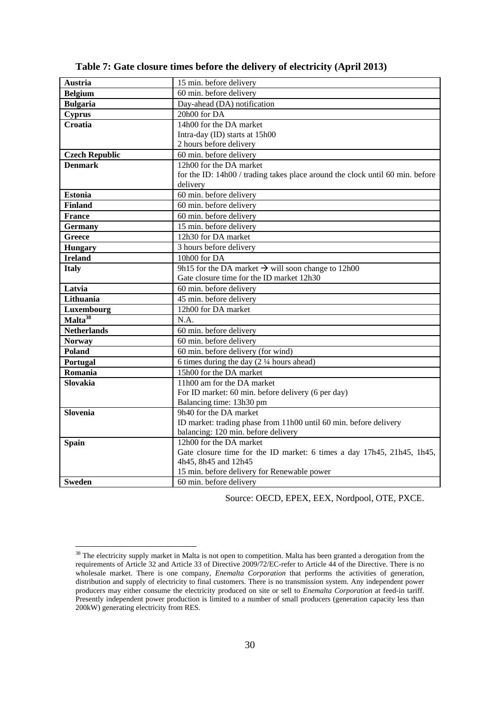| Austria               | 15 min. before delivery                                                       |  |
|-----------------------|-------------------------------------------------------------------------------|--|
| <b>Belgium</b>        | 60 min. before delivery                                                       |  |
| <b>Bulgaria</b>       | Day-ahead (DA) notification                                                   |  |
| <b>Cyprus</b>         | 20h00 for DA                                                                  |  |
| Croatia               | 14h00 for the DA market                                                       |  |
|                       | Intra-day (ID) starts at 15h00                                                |  |
|                       | 2 hours before delivery                                                       |  |
| <b>Czech Republic</b> | 60 min. before delivery                                                       |  |
| <b>Denmark</b>        | 12h00 for the DA market                                                       |  |
|                       | for the ID: 14h00 / trading takes place around the clock until 60 min. before |  |
|                       | delivery                                                                      |  |
| <b>Estonia</b>        | $60$ min. before delivery                                                     |  |
| <b>Finland</b>        | 60 min. before delivery                                                       |  |
| <b>France</b>         | 60 min. before delivery                                                       |  |
| <b>Germany</b>        | 15 min. before delivery                                                       |  |
| <b>Greece</b>         | 12h30 for DA market                                                           |  |
| <b>Hungary</b>        | 3 hours before delivery                                                       |  |
| <b>Ireland</b>        | 10h00 for DA                                                                  |  |
| <b>Italy</b>          | 9h15 for the DA market $\rightarrow$ will soon change to 12h00                |  |
|                       | Gate closure time for the ID market 12h30                                     |  |
| Latvia                | 60 min. before delivery                                                       |  |
| Lithuania             | 45 min. before delivery                                                       |  |
| Luxembourg            | 12h00 for DA market                                                           |  |
| Malta <sup>38</sup>   | N.A.                                                                          |  |
| <b>Netherlands</b>    | 60 min. before delivery                                                       |  |
| <b>Norway</b>         | 60 min. before delivery                                                       |  |
| <b>Poland</b>         | 60 min. before delivery (for wind)                                            |  |
| Portugal              | 6 times during the day $(2\frac{1}{4}$ hours ahead)                           |  |
| Romania               | 15h00 for the DA market                                                       |  |
| Slovakia              | 11h00 am for the DA market                                                    |  |
|                       | For ID market: 60 min. before delivery (6 per day)                            |  |
|                       | Balancing time: 13h30 pm                                                      |  |
| Slovenia              | 9h40 for the DA market                                                        |  |
|                       | ID market: trading phase from 11h00 until 60 min. before delivery             |  |
|                       | balancing: 120 min. before delivery                                           |  |
| <b>Spain</b>          | 12h00 for the DA market                                                       |  |
|                       | Gate closure time for the ID market: 6 times a day 17h45, 21h45, 1h45,        |  |
|                       | 4h45, 8h45 and 12h45                                                          |  |
|                       | 15 min. before delivery for Renewable power                                   |  |
| <b>Sweden</b>         | 60 min. before delivery                                                       |  |

**Table 7: Gate closure times before the delivery of electricity (April 2013)** 

Source: OECD, EPEX, EEX, Nordpool, OTE, PXCE.

1

 $38$  The electricity supply market in Malta is not open to competition. Malta has been granted a derogation from the requirements of Article 32 and Article 33 of Directive 2009/72/EC-refer to Article 44 of the Directive. There is no wholesale market. There is one company, *Enemalta Corporation* that performs the activities of generation, distribution and supply of electricity to final customers. There is no transmission system. Any independent power producers may either consume the electricity produced on site or sell to *Enemalta Corporation* at feed-in tariff. Presently independent power production is limited to a number of small producers (generation capacity less than 200kW) generating electricity from RES.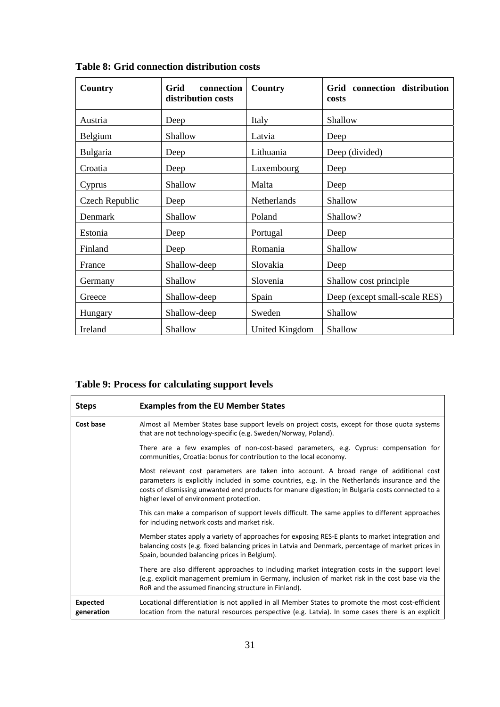| Country        | Grid<br>connection<br>distribution costs | <b>Country</b> | Grid connection distribution<br>costs |
|----------------|------------------------------------------|----------------|---------------------------------------|
| Austria        | Deep                                     | Italy          | Shallow                               |
| Belgium        | Shallow                                  | Latvia         | Deep                                  |
| Bulgaria       | Deep                                     | Lithuania      | Deep (divided)                        |
| Croatia        | Deep                                     | Luxembourg     | Deep                                  |
| Cyprus         | Shallow                                  | Malta          | Deep                                  |
| Czech Republic | Deep                                     | Netherlands    | Shallow                               |
| Denmark        | Shallow                                  | Poland         | Shallow?                              |
| Estonia        | Deep                                     | Portugal       | Deep                                  |
| Finland        | Deep                                     | Romania        | Shallow                               |
| France         | Shallow-deep                             | Slovakia       | Deep                                  |
| Germany        | Shallow                                  | Slovenia       | Shallow cost principle                |
| Greece         | Shallow-deep                             | Spain          | Deep (except small-scale RES)         |
| Hungary        | Shallow-deep                             | Sweden         | Shallow                               |
| Ireland        | Shallow                                  | United Kingdom | Shallow                               |

**Table 8: Grid connection distribution costs** 

| Table 9: Process for calculating support levels |  |
|-------------------------------------------------|--|
|-------------------------------------------------|--|

| <b>Steps</b>                  | <b>Examples from the EU Member States</b>                                                                                                                                                                                                                                                                                               |  |
|-------------------------------|-----------------------------------------------------------------------------------------------------------------------------------------------------------------------------------------------------------------------------------------------------------------------------------------------------------------------------------------|--|
| Cost base                     | Almost all Member States base support levels on project costs, except for those quota systems<br>that are not technology-specific (e.g. Sweden/Norway, Poland).                                                                                                                                                                         |  |
|                               | There are a few examples of non-cost-based parameters, e.g. Cyprus: compensation for<br>communities, Croatia: bonus for contribution to the local economy.                                                                                                                                                                              |  |
|                               | Most relevant cost parameters are taken into account. A broad range of additional cost<br>parameters is explicitly included in some countries, e.g. in the Netherlands insurance and the<br>costs of dismissing unwanted end products for manure digestion; in Bulgaria costs connected to a<br>higher level of environment protection. |  |
|                               | This can make a comparison of support levels difficult. The same applies to different approaches<br>for including network costs and market risk.                                                                                                                                                                                        |  |
|                               | Member states apply a variety of approaches for exposing RES-E plants to market integration and<br>balancing costs (e.g. fixed balancing prices in Latvia and Denmark, percentage of market prices in<br>Spain, bounded balancing prices in Belgium).                                                                                   |  |
|                               | There are also different approaches to including market integration costs in the support level<br>(e.g. explicit management premium in Germany, inclusion of market risk in the cost base via the<br>RoR and the assumed financing structure in Finland).                                                                               |  |
| <b>Expected</b><br>generation | Locational differentiation is not applied in all Member States to promote the most cost-efficient<br>location from the natural resources perspective (e.g. Latvia). In some cases there is an explicit                                                                                                                                  |  |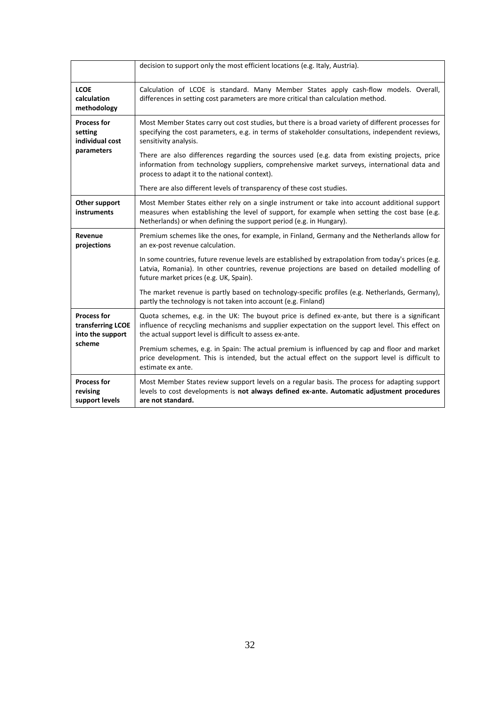|                                                                       | decision to support only the most efficient locations (e.g. Italy, Austria).                                                                                                                                                                                          |
|-----------------------------------------------------------------------|-----------------------------------------------------------------------------------------------------------------------------------------------------------------------------------------------------------------------------------------------------------------------|
| <b>LCOE</b><br>calculation<br>methodology                             | Calculation of LCOE is standard. Many Member States apply cash-flow models. Overall,<br>differences in setting cost parameters are more critical than calculation method.                                                                                             |
| <b>Process for</b><br>setting<br>individual cost                      | Most Member States carry out cost studies, but there is a broad variety of different processes for<br>specifying the cost parameters, e.g. in terms of stakeholder consultations, independent reviews,<br>sensitivity analysis.                                       |
| parameters                                                            | There are also differences regarding the sources used (e.g. data from existing projects, price<br>information from technology suppliers, comprehensive market surveys, international data and<br>process to adapt it to the national context).                        |
|                                                                       | There are also different levels of transparency of these cost studies.                                                                                                                                                                                                |
| Other support<br>instruments                                          | Most Member States either rely on a single instrument or take into account additional support<br>measures when establishing the level of support, for example when setting the cost base (e.g.<br>Netherlands) or when defining the support period (e.g. in Hungary). |
| Revenue<br>projections                                                | Premium schemes like the ones, for example, in Finland, Germany and the Netherlands allow for<br>an ex-post revenue calculation.                                                                                                                                      |
|                                                                       | In some countries, future revenue levels are established by extrapolation from today's prices (e.g.<br>Latvia, Romania). In other countries, revenue projections are based on detailed modelling of<br>future market prices (e.g. UK, Spain).                         |
|                                                                       | The market revenue is partly based on technology-specific profiles (e.g. Netherlands, Germany),<br>partly the technology is not taken into account (e.g. Finland)                                                                                                     |
| <b>Process for</b><br>transferring LCOE<br>into the support<br>scheme | Quota schemes, e.g. in the UK: The buyout price is defined ex-ante, but there is a significant<br>influence of recycling mechanisms and supplier expectation on the support level. This effect on<br>the actual support level is difficult to assess ex-ante.         |
|                                                                       | Premium schemes, e.g. in Spain: The actual premium is influenced by cap and floor and market<br>price development. This is intended, but the actual effect on the support level is difficult to<br>estimate ex ante.                                                  |
| <b>Process for</b><br>revising<br>support levels                      | Most Member States review support levels on a regular basis. The process for adapting support<br>levels to cost developments is not always defined ex-ante. Automatic adjustment procedures<br>are not standard.                                                      |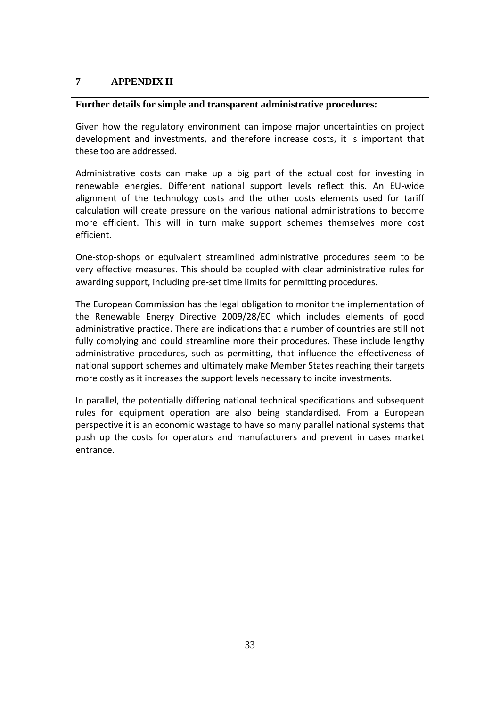# **7 APPENDIX II**

# **Further details for simple and transparent administrative procedures:**

Given how the regulatory environment can impose major uncertainties on project development and investments, and therefore increase costs, it is important that these too are addressed.

Administrative costs can make up a big part of the actual cost for investing in renewable energies. Different national support levels reflect this. An EU-wide alignment of the technology costs and the other costs elements used for tariff calculation will create pressure on the various national administrations to become more efficient. This will in turn make support schemes themselves more cost efficient.

One-stop-shops or equivalent streamlined administrative procedures seem to be very effective measures. This should be coupled with clear administrative rules for awarding support, including pre-set time limits for permitting procedures.

The European Commission has the legal obligation to monitor the implementation of the Renewable Energy Directive 2009/28/EC which includes elements of good administrative practice. There are indications that a number of countries are still not fully complying and could streamline more their procedures. These include lengthy administrative procedures, such as permitting, that influence the effectiveness of national support schemes and ultimately make Member States reaching their targets more costly as it increases the support levels necessary to incite investments.

In parallel, the potentially differing national technical specifications and subsequent rules for equipment operation are also being standardised. From a European perspective it is an economic wastage to have so many parallel national systems that push up the costs for operators and manufacturers and prevent in cases market entrance.